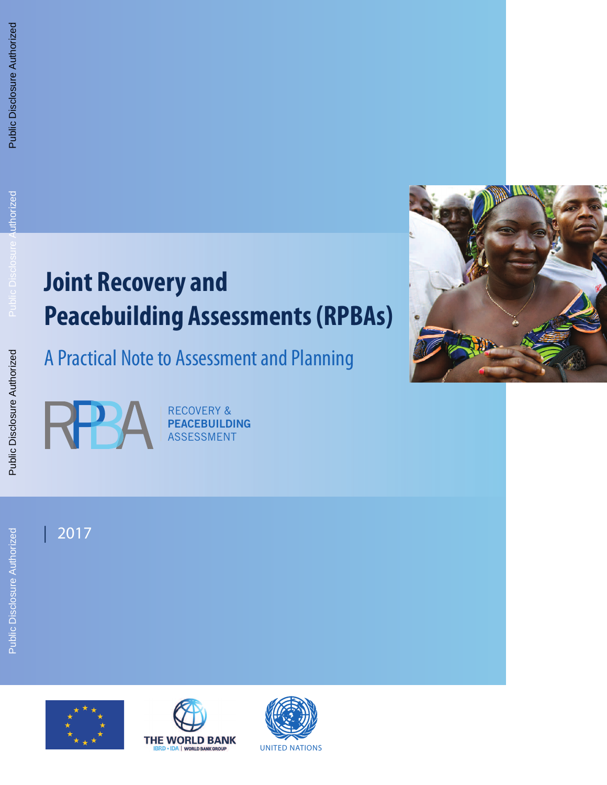| 2017









**Joint Recovery and Peacebuilding Assessments(RPBAs)**

A Practical Note to Assessment and Planning

RECOVERY & **PEACEBUILDING**

RECOVERY &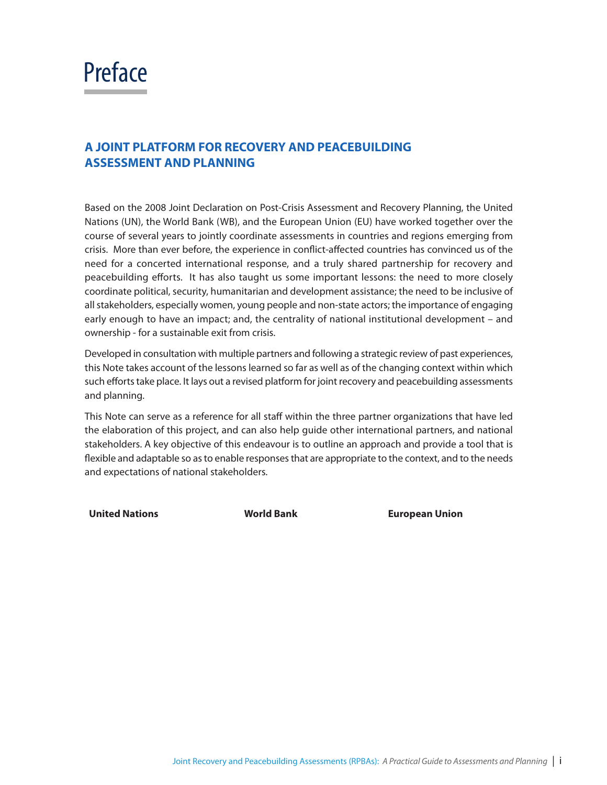## Preface

### **A JOINT PLATFORM FOR RECOVERY AND PEACEBUILDING ASSESSMENT AND PLANNING**

Based on the 2008 Joint Declaration on Post-Crisis Assessment and Recovery Planning, the United Nations (UN), the World Bank (WB), and the European Union (EU) have worked together over the course of several years to jointly coordinate assessments in countries and regions emerging from crisis. More than ever before, the experience in conflict-affected countries has convinced us of the need for a concerted international response, and a truly shared partnership for recovery and peacebuilding efforts. It has also taught us some important lessons: the need to more closely coordinate political, security, humanitarian and development assistance; the need to be inclusive of all stakeholders, especially women, young people and non-state actors; the importance of engaging early enough to have an impact; and, the centrality of national institutional development – and ownership - for a sustainable exit from crisis.

Developed in consultation with multiple partners and following a strategic review of past experiences, this Note takes account of the lessons learned so far as well as of the changing context within which such efforts take place. It lays out a revised platform for joint recovery and peacebuilding assessments and planning.

This Note can serve as a reference for all staff within the three partner organizations that have led the elaboration of this project, and can also help guide other international partners, and national stakeholders. A key objective of this endeavour is to outline an approach and provide a tool that is flexible and adaptable so as to enable responses that are appropriate to the context, and to the needs and expectations of national stakeholders.

**United Nations World Bank European Union**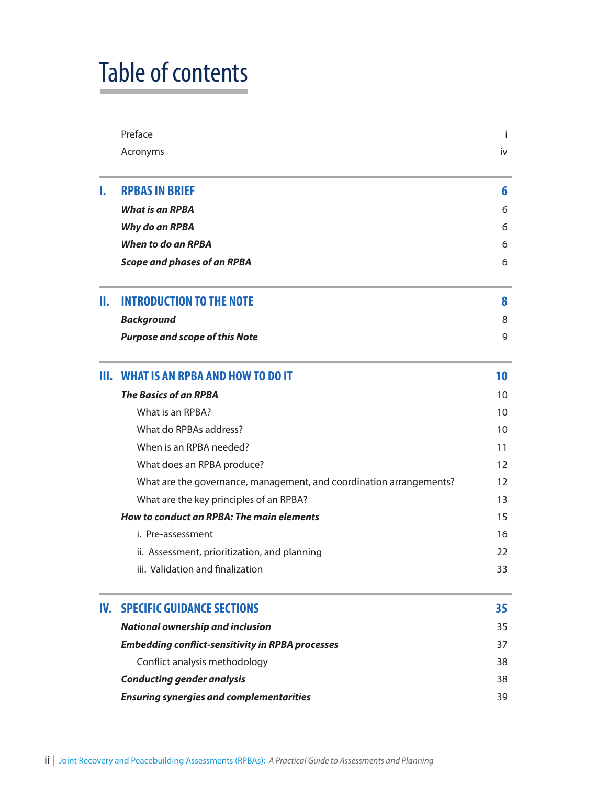## Table of contents

|     | Preface                                                             | Ť               |
|-----|---------------------------------------------------------------------|-----------------|
|     | Acronyms                                                            | iv              |
| ı.  | <b>RPBAS IN BRIEF</b>                                               | 6               |
|     | <b>What is an RPBA</b>                                              | 6               |
|     | Why do an RPBA                                                      | 6               |
|     | <b>When to do an RPBA</b>                                           | 6               |
|     | <b>Scope and phases of an RPBA</b>                                  | 6               |
| Н.  | <b>INTRODUCTION TO THE NOTE</b>                                     | 8               |
|     | <b>Background</b>                                                   | 8               |
|     | <b>Purpose and scope of this Note</b>                               | 9               |
| Ш.  | <b>WHAT IS AN RPBA AND HOW TO DO IT</b>                             | 10              |
|     | <b>The Basics of an RPBA</b>                                        | 10              |
|     | What is an RPBA?                                                    | 10 <sup>1</sup> |
|     | What do RPBAs address?                                              | 10              |
|     | When is an RPBA needed?                                             | 11              |
|     | What does an RPBA produce?                                          | 12              |
|     | What are the governance, management, and coordination arrangements? | 12              |
|     | What are the key principles of an RPBA?                             | 13              |
|     | How to conduct an RPBA: The main elements                           | 15              |
|     | i. Pre-assessment                                                   | 16              |
|     | ii. Assessment, prioritization, and planning                        | 22              |
|     | iii. Validation and finalization                                    | 33              |
| IV. | <b>SPECIFIC GUIDANCE SECTIONS</b>                                   | 35              |
|     | <b>National ownership and inclusion</b>                             | 35              |
|     | <b>Embedding conflict-sensitivity in RPBA processes</b>             | 37              |
|     | Conflict analysis methodology                                       | 38              |
|     | <b>Conducting gender analysis</b>                                   | 38              |
|     | <b>Ensuring synergies and complementarities</b>                     | 39              |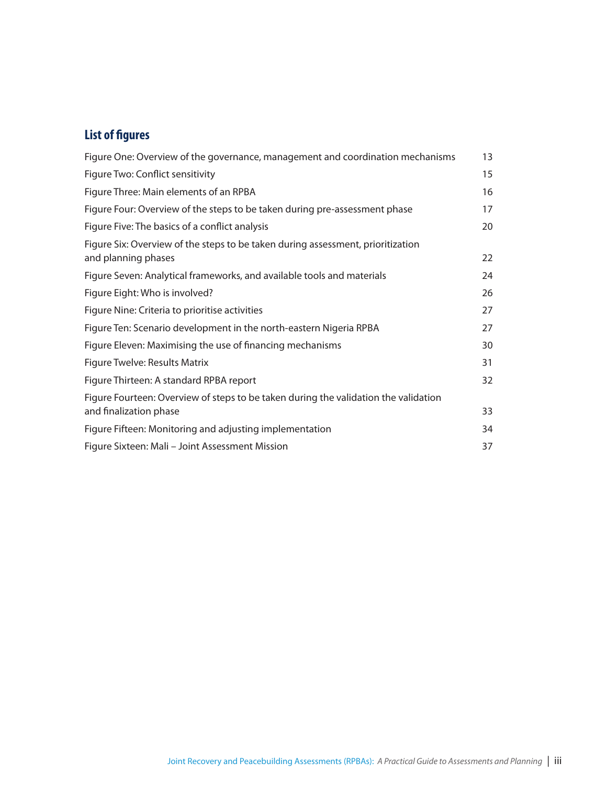## **List of figures**

| Figure One: Overview of the governance, management and coordination mechanisms                         | 13                |
|--------------------------------------------------------------------------------------------------------|-------------------|
| Figure Two: Conflict sensitivity                                                                       | 15                |
| Figure Three: Main elements of an RPBA                                                                 | 16                |
| Figure Four: Overview of the steps to be taken during pre-assessment phase                             | 17                |
| Figure Five: The basics of a conflict analysis                                                         | 20                |
| Figure Six: Overview of the steps to be taken during assessment, prioritization<br>and planning phases | $22 \overline{ }$ |
| Figure Seven: Analytical frameworks, and available tools and materials                                 | 24                |
| Figure Eight: Who is involved?                                                                         | 26                |
| Figure Nine: Criteria to prioritise activities                                                         | 27                |
| Figure Ten: Scenario development in the north-eastern Nigeria RPBA                                     | 27                |
| Figure Eleven: Maximising the use of financing mechanisms                                              | 30                |
| Figure Twelve: Results Matrix                                                                          | 31                |
| Figure Thirteen: A standard RPBA report                                                                | 32                |
| Figure Fourteen: Overview of steps to be taken during the validation the validation                    |                   |
| and finalization phase                                                                                 | 33                |
| Figure Fifteen: Monitoring and adjusting implementation                                                | 34                |
| Figure Sixteen: Mali - Joint Assessment Mission                                                        | 37                |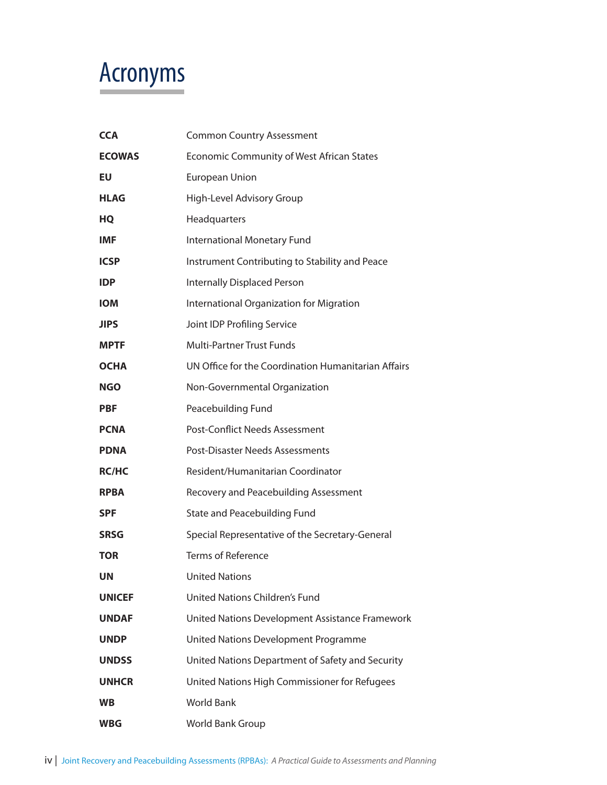## Acronyms

| <b>CCA</b>    | <b>Common Country Assessment</b>                    |  |  |  |
|---------------|-----------------------------------------------------|--|--|--|
| <b>ECOWAS</b> | <b>Economic Community of West African States</b>    |  |  |  |
| EU            | European Union                                      |  |  |  |
| <b>HLAG</b>   | High-Level Advisory Group                           |  |  |  |
| HQ            | Headquarters                                        |  |  |  |
| <b>IMF</b>    | International Monetary Fund                         |  |  |  |
| <b>ICSP</b>   | Instrument Contributing to Stability and Peace      |  |  |  |
| <b>IDP</b>    | <b>Internally Displaced Person</b>                  |  |  |  |
| <b>IOM</b>    | International Organization for Migration            |  |  |  |
| <b>JIPS</b>   | Joint IDP Profiling Service                         |  |  |  |
| <b>MPTF</b>   | <b>Multi-Partner Trust Funds</b>                    |  |  |  |
| <b>OCHA</b>   | UN Office for the Coordination Humanitarian Affairs |  |  |  |
| <b>NGO</b>    | Non-Governmental Organization                       |  |  |  |
| <b>PBF</b>    | Peacebuilding Fund                                  |  |  |  |
| <b>PCNA</b>   | <b>Post-Conflict Needs Assessment</b>               |  |  |  |
| <b>PDNA</b>   | Post-Disaster Needs Assessments                     |  |  |  |
| <b>RC/HC</b>  | Resident/Humanitarian Coordinator                   |  |  |  |
| <b>RPBA</b>   | Recovery and Peacebuilding Assessment               |  |  |  |
| <b>SPF</b>    | State and Peacebuilding Fund                        |  |  |  |
| <b>SRSG</b>   | Special Representative of the Secretary-General     |  |  |  |
| <b>TOR</b>    | <b>Terms of Reference</b>                           |  |  |  |
| UN            | <b>United Nations</b>                               |  |  |  |
| <b>UNICEF</b> | <b>United Nations Children's Fund</b>               |  |  |  |
| <b>UNDAF</b>  | United Nations Development Assistance Framework     |  |  |  |
| <b>UNDP</b>   | United Nations Development Programme                |  |  |  |
| <b>UNDSS</b>  | United Nations Department of Safety and Security    |  |  |  |
| <b>UNHCR</b>  | United Nations High Commissioner for Refugees       |  |  |  |
| <b>WB</b>     | <b>World Bank</b>                                   |  |  |  |
| <b>WBG</b>    | World Bank Group                                    |  |  |  |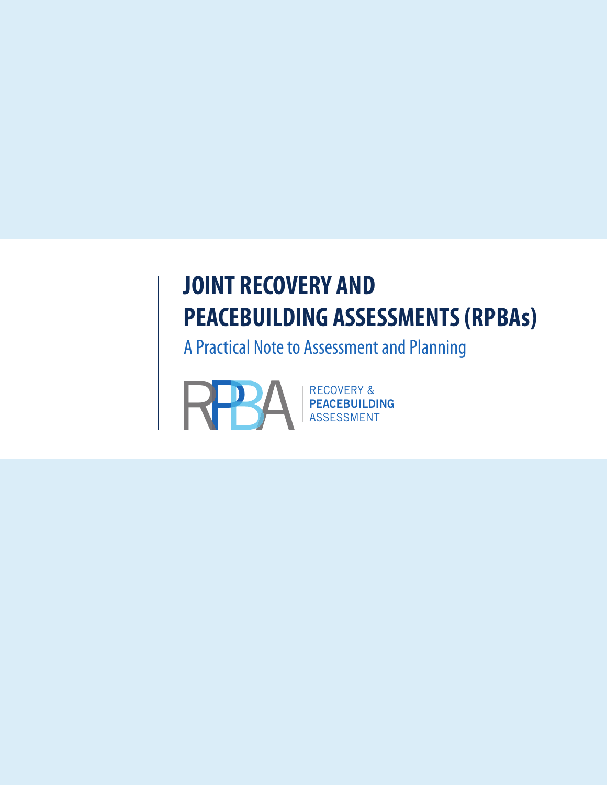## **JOINT RECOVERY AND PEACEBUILDING ASSESSMENTS(RPBAs)**

A Practical Note to Assessment and Planning



RECOVERY & **PEACEBUILDING**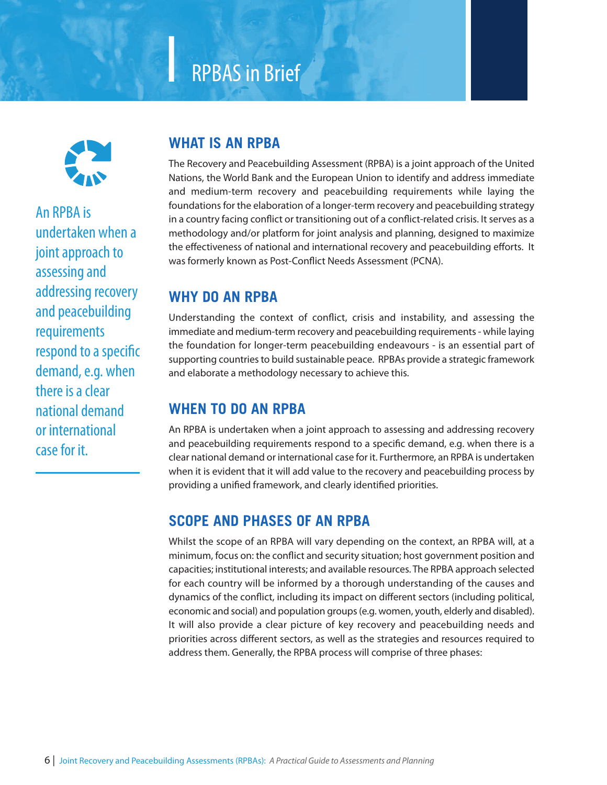## **RPBAS** in Brief



An RPBA is undertaken when a joint approach to assessing and addressing recovery and peacebuilding requirements respond to a specific demand,e.g. when there is a clear national demand or international case for it.

## **WHAT IS AN RPBA**

The Recovery and Peacebuilding Assessment (RPBA) is a joint approach of the United Nations, the World Bank and the European Union to identify and address immediate and medium-term recovery and peacebuilding requirements while laying the foundations for the elaboration of a longer-term recovery and peacebuilding strategy in a country facing conflict or transitioning out of a conflict-related crisis. It serves as a methodology and/or platform for joint analysis and planning, designed to maximize the effectiveness of national and international recovery and peacebuilding efforts. It was formerly known as Post-Conflict Needs Assessment (PCNA).

## **WHY DO AN RPBA**

Understanding the context of conflict, crisis and instability, and assessing the immediate and medium-term recovery and peacebuilding requirements- while laying the foundation for longer-term peacebuilding endeavours - is an essential part of supporting countries to build sustainable peace. RPBAs provide a strategic framework and elaborate a methodology necessary to achieve this.

## **WHEN TO DO AN RPBA**

An RPBA is undertaken when a joint approach to assessing and addressing recovery and peacebuilding requirements respond to a specific demand, e.g. when there is a clear national demand or international case for it. Furthermore, an RPBA is undertaken when it is evident that it will add value to the recovery and peacebuilding process by providing a unified framework, and clearly identified priorities.

## **SCOPE AND PHASES OF AN RPBA**

Whilst the scope of an RPBA will vary depending on the context, an RPBA will, at a minimum, focus on: the conflict and security situation; host government position and capacities; institutional interests; and available resources. The RPBA approach selected for each country will be informed by a thorough understanding of the causes and dynamics of the conflict, including its impact on different sectors (including political, economic and social) and population groups(e.g. women, youth, elderly and disabled). It will also provide a clear picture of key recovery and peacebuilding needs and priorities across different sectors, as well as the strategies and resources required to address them. Generally, the RPBA process will comprise of three phases: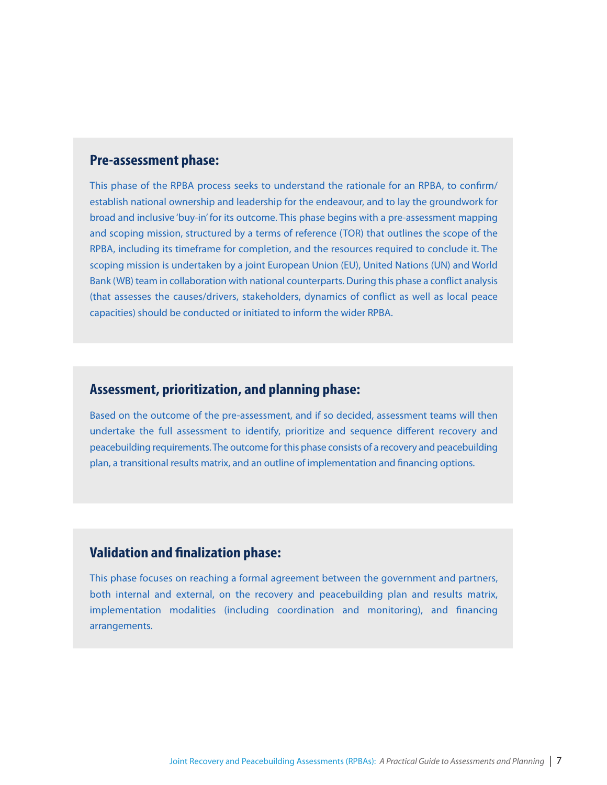### **Pre-assessment phase:**

This phase of the RPBA process seeks to understand the rationale for an RPBA, to confirm/ establish national ownership and leadership for the endeavour, and to lay the groundwork for broad and inclusive 'buy-in'for its outcome. This phase begins with a pre-assessment mapping and scoping mission, structured by a terms of reference (TOR) that outlines the scope of the RPBA, including its timeframe for completion, and the resources required to conclude it. The scoping mission is undertaken by a joint European Union (EU), United Nations (UN) and World Bank (WB) team in collaboration with national counterparts. During this phase a conflict analysis (that assesses the causes/drivers, stakeholders, dynamics of conflict as well as local peace capacities) should be conducted or initiated to inform the wider RPBA.

### **Assessment, prioritization, and planning phase:**

Based on the outcome of the pre-assessment, and if so decided, assessment teams will then undertake the full assessment to identify, prioritize and sequence different recovery and peacebuilding requirements.The outcome forthis phase consists of a recovery and peacebuilding plan, a transitional results matrix, and an outline of implementation and financing options.

### **Validation and finalization phase:**

This phase focuses on reaching a formal agreement between the government and partners, both internal and external, on the recovery and peacebuilding plan and results matrix, implementation modalities (including coordination and monitoring), and financing arrangements.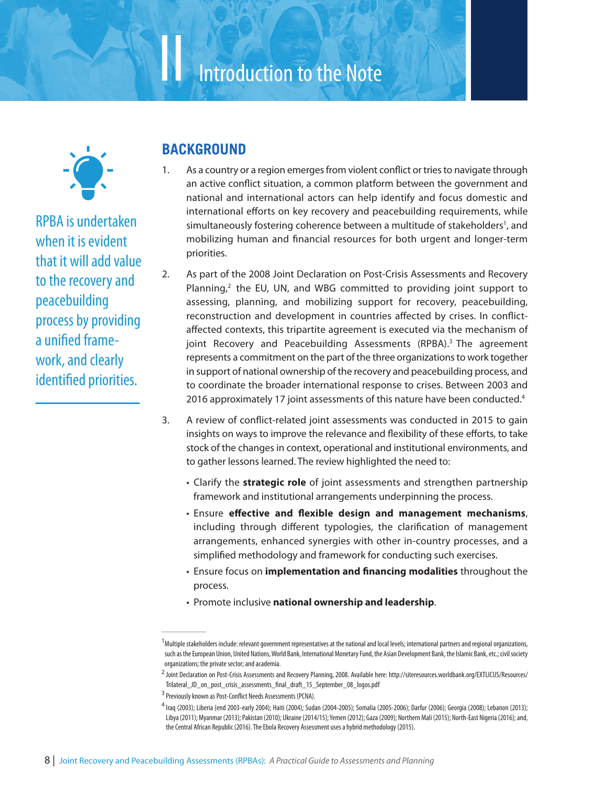## Introduction to the Note



RPBA is undertaken when it is evident that it willaddvalue to the recovery and peacebuilding process by providing a unified framework, and clearly identified priorities.

## **BACKGROUND**

- 1. As a country or a region emergesfrom violent conflict or triesto navigate through an active conflict situation, a common platform between the government and national and international actors can help identify and focus domestic and international efforts on key recovery and peacebuilding requirements, while simultaneously fostering coherence between a multitude of stakeholders<sup>1</sup>, and mobilizing human and financial resources for both urgent and longer-term priorities.
- 2. As part of the 2008 Joint Declaration on Post-Crisis Assessments and Recovery Planning,<sup>2</sup> the EU, UN, and WBG committed to providing joint support to assessing, planning, and mobilizing support for recovery, peacebuilding, reconstruction and development in countries affected by crises. In conflictaffected contexts, this tripartite agreement is executed via the mechanism of joint Recovery and Peacebuilding Assessments (RPBA).<sup>3</sup> The agreement represents a commitment on the part of the three organizations to work together in support of national ownership of the recovery and peacebuilding process, and to coordinate the broader international response to crises. Between 2003 and 2016 approximately 17 joint assessments of this nature have been conducted.<sup>4</sup>
- 3. A review of conflict-related joint assessments was conducted in 2015 to gain insights on ways to improve the relevance and flexibility of these efforts, to take stock of the changes in context, operational and institutional environments, and to gather lessons learned. The review highlighted the need to:
	- Clarify the **strategic role** of joint assessments and strengthen partnership framework and institutional arrangements underpinning the process.
	- Ensure **effective and flexible design and management mechanisms**, including through different typologies, the clarification of management arrangements, enhanced synergies with other in-country processes, and a simplified methodology and framework for conducting such exercises.
	- Ensure focus on **implementation and financing modalities** throughout the process.
	- Promote inclusive **national ownership and leadership**.

<sup>&</sup>lt;sup>1</sup> Multiple stakeholders include: relevant government representatives at the national and local levels; international partners and regional organizations, such as the European Union, United Nations, World Bank, International Monetary Fund, the Asian Development Bank, the Islamic Bank, etc.; civil society organizations; the private sector; and academia.

 $^2$  Joint Declaration on Post-Crisis Assessments and Recovery Planning, 2008. Available here: http://siteresources.worldbank.org/EXTLICUS/Resources/ Trilateral\_JD\_on\_post\_crisis\_assessments\_final\_draft\_15\_September\_08\_logos.pdf

<sup>&</sup>lt;sup>3</sup> Previously known as Post-Conflict Needs Assessments (PCNA).

<sup>&</sup>lt;sup>4</sup> Iraq (2003); Liberia (end 2003-early 2004); Haiti (2004); Sudan (2004-2005); Somalia (2005-2006); Darfur (2006); Georgia (2008); Lebanon (2013); Libya (2011); Myanmar (2013); Pakistan (2010); Ukraine (2014/15); Yemen (2012); Gaza (2009); Northern Mali (2015); North-East Nigeria (2016); and, the Central African Republic (2016). The Ebola Recovery Assessment uses a hybrid methodology (2015).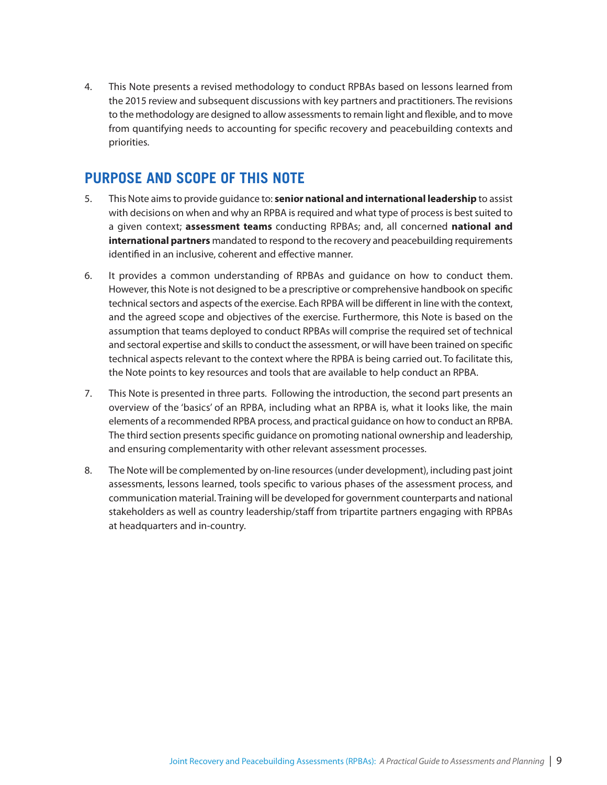4. This Note presents a revised methodology to conduct RPBAs based on lessons learned from the 2015 review and subsequent discussions with key partners and practitioners. The revisions to the methodology are designed to allow assessments to remain light and flexible, and to move from quantifying needs to accounting for specific recovery and peacebuilding contexts and priorities.

## **PURPOSE AND SCOPE OF THIS NOTE**

- 5. This Note aimsto provide guidance to: **senior national and international leadership** to assist with decisions on when and why an RPBA is required and what type of process is best suited to a given context; **assessment teams** conducting RPBAs; and, all concerned **national and international partners** mandated to respond to the recovery and peacebuilding requirements identified in an inclusive, coherent and effective manner.
- 6. It provides a common understanding of RPBAs and guidance on how to conduct them. However, this Note is not designed to be a prescriptive or comprehensive handbook on specific technical sectors and aspects of the exercise. Each RPBA will be different in line with the context, and the agreed scope and objectives of the exercise. Furthermore, this Note is based on the assumption that teams deployed to conduct RPBAs will comprise the required set of technical and sectoral expertise and skills to conduct the assessment, or will have been trained on specific technical aspects relevant to the context where the RPBA is being carried out. To facilitate this, the Note points to key resources and tools that are available to help conduct an RPBA.
- 7. This Note is presented in three parts. Following the introduction, the second part presents an overview of the 'basics' of an RPBA, including what an RPBA is, what it looks like, the main elements of a recommended RPBA process, and practical guidance on how to conduct an RPBA. The third section presents specific guidance on promoting national ownership and leadership, and ensuring complementarity with other relevant assessment processes.
- 8. The Note will be complemented by on-line resources(under development), including past joint assessments, lessons learned, tools specific to various phases of the assessment process, and communication material. Training will be developed for government counterparts and national stakeholders as well as country leadership/staff from tripartite partners engaging with RPBAs at headquarters and in-country.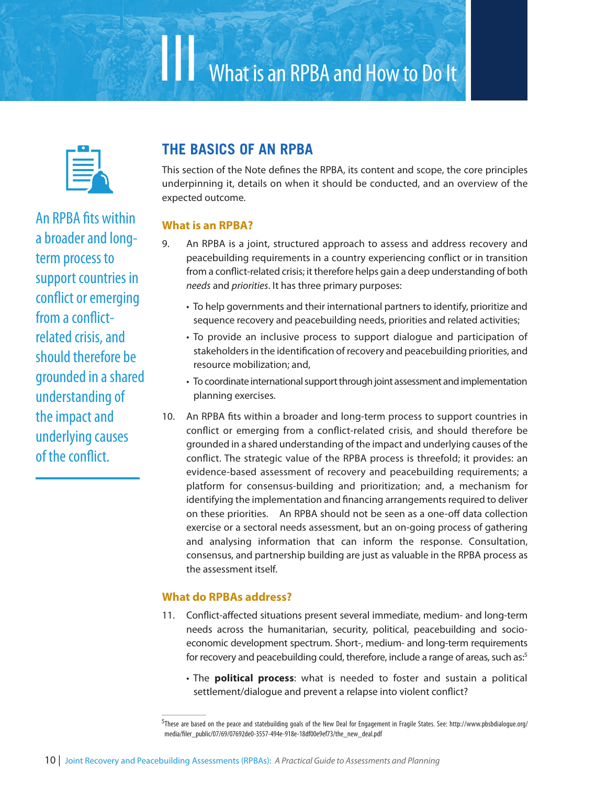# III What is an RPBA and How to Do It

An RPBA fits within a broader and longterm process to support countries in conflict or emerging from a conflictrelated crisis, and should therefore be groundedin ashared understanding of the impact and underlying causes of the conflict.

## **THE BASICS OF AN RPBA**

This section of the Note defines the RPBA, its content and scope, the core principles underpinning it, details on when it should be conducted, and an overview of the expected outcome.

### **What is an RPBA?**

- 9. An RPBA is a joint, structured approach to assess and address recovery and peacebuilding requirements in a country experiencing conflict or in transition from a conflict-related crisis; it therefore helps gain a deep understanding of both needs and priorities. It has three primary purposes:
	- To help governments and their international partners to identify, prioritize and sequence recovery and peacebuilding needs, priorities and related activities;
	- To provide an inclusive process to support dialogue and participation of stakeholders in the identification of recovery and peacebuilding priorities, and resource mobilization; and,
	- To coordinate international support through joint assessment and implementation planning exercises.
- 10. An RPBA fits within a broader and long-term process to support countries in conflict or emerging from a conflict-related crisis, and should therefore be grounded in a shared understanding of the impact and underlying causes of the conflict. The strategic value of the RPBA process is threefold; it provides: an evidence-based assessment of recovery and peacebuilding requirements; a platform for consensus-building and prioritization; and, a mechanism for identifying the implementation and financing arrangements required to deliver on these priorities. An RPBA should not be seen as a one-off data collection exercise or a sectoral needs assessment, but an on-going process of gathering and analysing information that can inform the response. Consultation, consensus, and partnership building are just as valuable in the RPBA process as the assessment itself.

### **What do RPBAs address?**

- 11. Conflict-affected situations present several immediate, medium- and long-term needs across the humanitarian, security, political, peacebuilding and socioeconomic development spectrum. Short-, medium- and long-term requirements for recovery and peacebuilding could, therefore, include a range of areas, such as:<sup>5</sup>
	- The **political process**: what is needed to foster and sustain a political settlement/dialogue and prevent a relapse into violent conflict?

<sup>5</sup>These are based on the peace and statebuilding goals of the New Deal for Engagement in Fragile States. See: http://www.pbsbdialogue.org/ media/filer\_public/07/69/07692de0-3557-494e-918e-18df00e9ef73/the\_new\_deal.pdf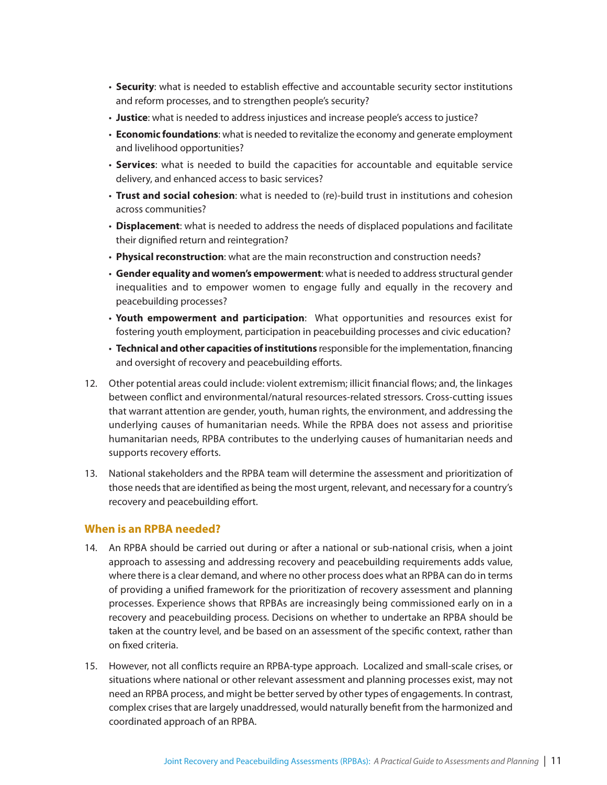- **Security**: what is needed to establish effective and accountable security sector institutions and reform processes, and to strengthen people's security?
- **Justice**: what is needed to address injustices and increase people's access to justice?
- **Economic foundations**: what is needed to revitalize the economy and generate employment and livelihood opportunities?
- **Services**: what is needed to build the capacities for accountable and equitable service delivery, and enhanced access to basic services?
- **Trust and social cohesion**: what is needed to (re)-build trust in institutions and cohesion across communities?
- **Displacement**: what is needed to address the needs of displaced populations and facilitate their dignified return and reintegration?
- **Physical reconstruction**: what are the main reconstruction and construction needs?
- **Gender equality and women's empowerment**: what is needed to addressstructural gender inequalities and to empower women to engage fully and equally in the recovery and peacebuilding processes?
- **Youth empowerment and participation**: What opportunities and resources exist for fostering youth employment, participation in peacebuilding processes and civic education?
- **Technical and other capacities ofinstitutions** responsible for the implementation, financing and oversight of recovery and peacebuilding efforts.
- 12. Other potential areas could include: violent extremism; illicit financial flows; and, the linkages between conflict and environmental/natural resources-related stressors. Cross-cutting issues that warrant attention are gender, youth, human rights, the environment, and addressing the underlying causes of humanitarian needs. While the RPBA does not assess and prioritise humanitarian needs, RPBA contributes to the underlying causes of humanitarian needs and supports recovery efforts.
- 13. National stakeholders and the RPBA team will determine the assessment and prioritization of those needs that are identified as being the most urgent, relevant, and necessary for a country's recovery and peacebuilding effort.

#### **When is an RPBA needed?**

- 14. An RPBA should be carried out during or after a national or sub-national crisis, when a joint approach to assessing and addressing recovery and peacebuilding requirements adds value, where there is a clear demand, and where no other process does what an RPBA can do in terms of providing a unified framework for the prioritization of recovery assessment and planning processes. Experience shows that RPBAs are increasingly being commissioned early on in a recovery and peacebuilding process. Decisions on whether to undertake an RPBA should be taken at the country level, and be based on an assessment of the specific context, rather than on fixed criteria.
- 15. However, not all conflicts require an RPBA-type approach. Localized and small-scale crises, or situations where national or other relevant assessment and planning processes exist, may not need an RPBA process, and might be better served by other types of engagements. In contrast, complex crises that are largely unaddressed, would naturally benefit from the harmonized and coordinated approach of an RPBA.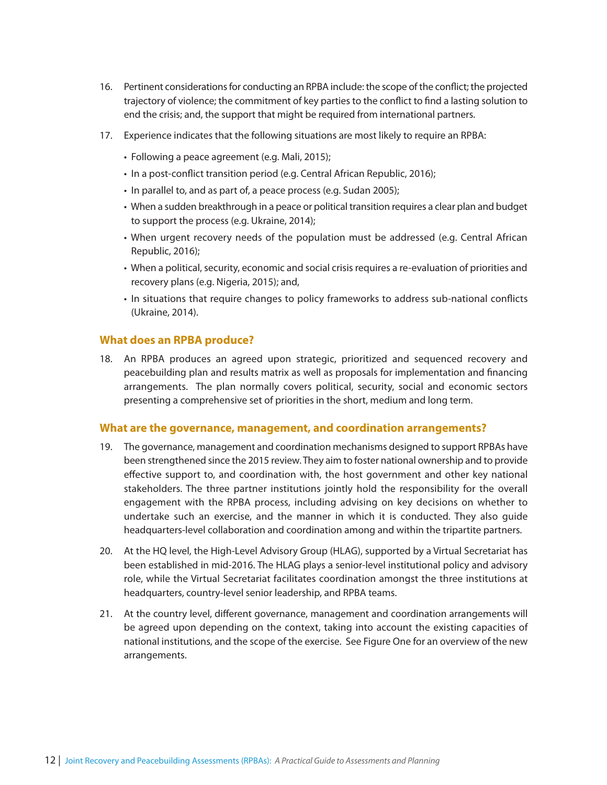- 16. Pertinent considerations for conducting an RPBA include: the scope of the conflict; the projected trajectory of violence; the commitment of key partiesto the conflict to find a lasting solution to end the crisis; and, the support that might be required from international partners.
- 17. Experience indicates that the following situations are most likely to require an RPBA:
	- Following a peace agreement (e.g. Mali, 2015);
	- In a post-conflict transition period (e.g. Central African Republic, 2016);
	- In parallel to, and as part of, a peace process (e.g. Sudan 2005);
	- When a sudden breakthrough in a peace or political transition requires a clear plan and budget to support the process (e.g. Ukraine, 2014);
	- When urgent recovery needs of the population must be addressed (e.g. Central African Republic, 2016);
	- When a political, security, economic and social crisis requires a re-evaluation of priorities and recovery plans (e.g. Nigeria, 2015); and,
	- In situations that require changes to policy frameworks to address sub-national conflicts (Ukraine, 2014).

#### **What does an RPBA produce?**

18. An RPBA produces an agreed upon strategic, prioritized and sequenced recovery and peacebuilding plan and results matrix as well as proposals for implementation and financing arrangements. The plan normally covers political, security, social and economic sectors presenting a comprehensive set of priorities in the short, medium and long term.

#### **What are the governance, management, and coordination arrangements?**

- 19. The governance, management and coordination mechanisms designed to support RPBAs have been strengthened since the 2015 review. They aim to foster national ownership and to provide effective support to, and coordination with, the host government and other key national stakeholders. The three partner institutions jointly hold the responsibility for the overall engagement with the RPBA process, including advising on key decisions on whether to undertake such an exercise, and the manner in which it is conducted. They also guide headquarters-level collaboration and coordination among and within the tripartite partners.
- 20. At the HQ level, the High-Level Advisory Group (HLAG), supported by a Virtual Secretariat has been established in mid-2016. The HLAG plays a senior-level institutional policy and advisory role, while the Virtual Secretariat facilitates coordination amongst the three institutions at headquarters, country-level senior leadership, and RPBA teams.
- 21. At the country level, different governance, management and coordination arrangements will be agreed upon depending on the context, taking into account the existing capacities of national institutions, and the scope of the exercise. See Figure One for an overview of the new arrangements.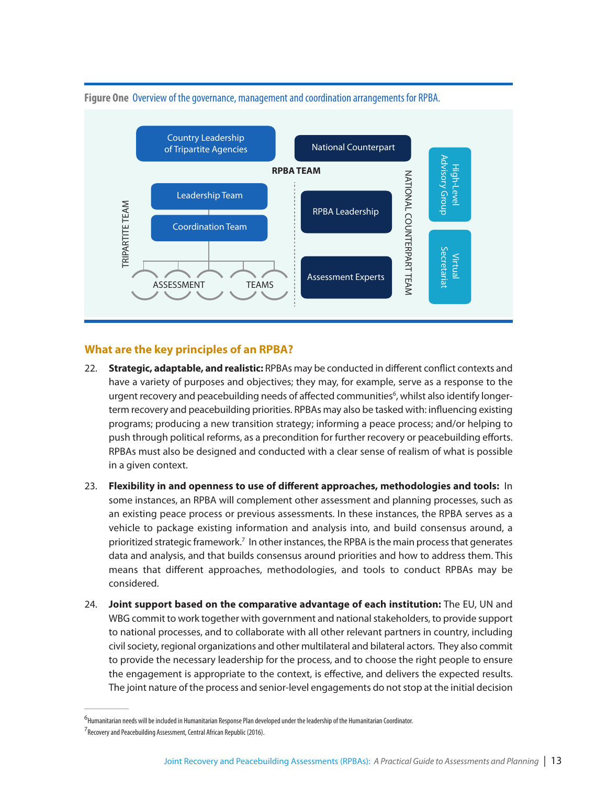

#### Figure One Overview of the governance, management and coordination arrangements for RPBA.

#### **What are the key principles of an RPBA?**

- 22. **Strategic, adaptable, and realistic:** RPBAs may be conducted in different conflict contexts and have a variety of purposes and objectives; they may, for example, serve as a response to the urgent recovery and peacebuilding needs of affected communities<sup>6</sup>, whilst also identify longerterm recovery and peacebuilding priorities. RPBAs may also be tasked with: influencing existing programs; producing a new transition strategy; informing a peace process; and/or helping to push through political reforms, as a precondition for further recovery or peacebuilding efforts. RPBAs must also be designed and conducted with a clear sense of realism of what is possible in a given context.
- 23. **Flexibility in and openness to use of different approaches, methodologies and tools:** In some instances, an RPBA will complement other assessment and planning processes, such as an existing peace process or previous assessments. In these instances, the RPBA serves as a vehicle to package existing information and analysis into, and build consensus around, a prioritized strategic framework. <sup>7</sup> In other instances, the RPBA isthe main processthat generates data and analysis, and that builds consensus around priorities and how to address them. This means that different approaches, methodologies, and tools to conduct RPBAs may be considered.
- 24. **Joint support based on the comparative advantage of each institution:** The EU, UN and WBG commit to work together with government and national stakeholders, to provide support to national processes, and to collaborate with all other relevant partners in country, including civil society, regional organizations and other multilateral and bilateral actors. They also commit to provide the necessary leadership for the process, and to choose the right people to ensure the engagement is appropriate to the context, is effective, and delivers the expected results. The joint nature of the process and senior-level engagements do not stop at the initial decision

<sup>&</sup>lt;sup>6</sup>Humanitarian needs will be included in Humanitarian Response Plan developed under the leadership of the Humanitarian Coordinator.

<sup>&</sup>lt;sup>7</sup> Recovery and Peacebuilding Assessment, Central African Republic (2016).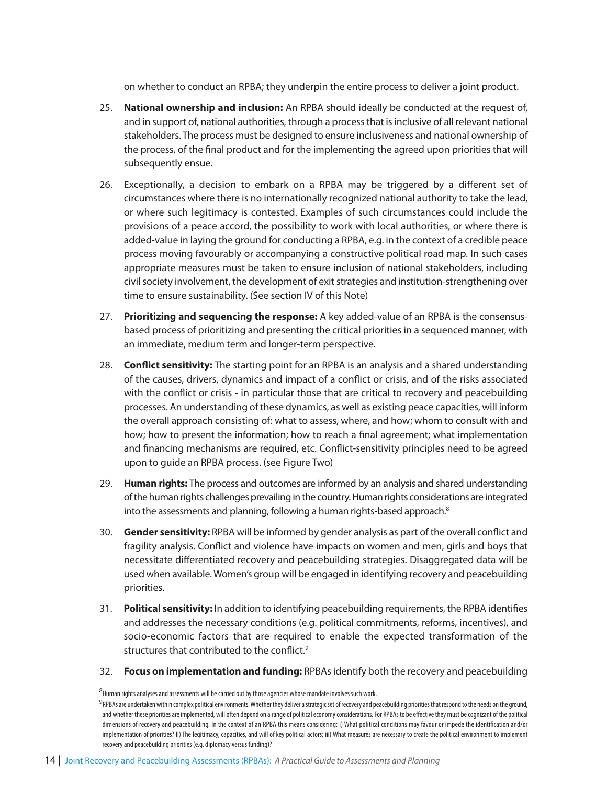on whether to conduct an RPBA; they underpin the entire process to deliver a joint product.

- 25. **National ownership and inclusion:** An RPBA should ideally be conducted at the request of, and in support of, national authorities, through a processthat isinclusive of all relevant national stakeholders. The process must be designed to ensure inclusiveness and national ownership of the process, of the final product and for the implementing the agreed upon priorities that will subsequently ensue.
- 26. Exceptionally, a decision to embark on a RPBA may be triggered by a different set of circumstances where there is no internationally recognized national authority to take the lead, or where such legitimacy is contested. Examples of such circumstances could include the provisions of a peace accord, the possibility to work with local authorities, or where there is added-value in laying the ground for conducting a RPBA, e.g. in the context of a credible peace process moving favourably or accompanying a constructive political road map. In such cases appropriate measures must be taken to ensure inclusion of national stakeholders, including civil society involvement, the development of exit strategies and institution-strengthening over time to ensure sustainability. (See section IV of this Note)
- 27. **Prioritizing and sequencing the response:** A key added-value of an RPBA is the consensusbased process of prioritizing and presenting the critical priorities in a sequenced manner, with an immediate, medium term and longer-term perspective.
- 28. **Conflict sensitivity:** The starting point for an RPBA is an analysis and a shared understanding of the causes, drivers, dynamics and impact of a conflict or crisis, and of the risks associated with the conflict or crisis - in particular those that are critical to recovery and peacebuilding processes. An understanding of these dynamics, as well as existing peace capacities, will inform the overall approach consisting of: what to assess, where, and how; whom to consult with and how; how to present the information; how to reach a final agreement; what implementation and financing mechanisms are required, etc. Conflict-sensitivity principles need to be agreed upon to guide an RPBA process. (see Figure Two)
- 29. **Human rights:** The process and outcomes are informed by an analysis and shared understanding of the human rights challenges prevailing in the country. Human rights considerations are integrated into the assessments and planning, following a human rights-based approach.<sup>8</sup>
- 30. **Gender sensitivity:** RPBA will be informed by gender analysis as part of the overall conflict and fragility analysis. Conflict and violence have impacts on women and men, girls and boys that necessitate differentiated recovery and peacebuilding strategies. Disaggregated data will be used when available.Women's group will be engaged in identifying recovery and peacebuilding priorities.
- 31. **Political sensitivity:** In addition to identifying peacebuilding requirements, the RPBA identifies and addresses the necessary conditions (e.g. political commitments, reforms, incentives), and socio-economic factors that are required to enable the expected transformation of the structures that contributed to the conflict.<sup>9</sup>
- 32. **Focus on implementation and funding:** RPBAsidentify both the recovery and peacebuilding

 $^8$ Human rights analyses and assessments will be carried out by those agencies whose mandate involves such work.

<sup>9</sup>RPBAs are undertaken within complex political environments. Whether they deliver a strategic set of recovery and peacebuilding priorities that respond to the needs on the ground, and whether these priorities are implemented, will often depend on a range of political economy considerations. For RPBAs to be effective they must be cognizant of the political dimensions of recovery and peacebuilding. In the context of an RPBA this means considering: i) What political conditions may favour or impede the identification and/or implementation of priorities? Ii) The legitimacy, capacities, and will of key political actors; iii) What measures are necessary to create the political environment to implement recovery and peacebuilding priorities (e.g. diplomacy versus funding)?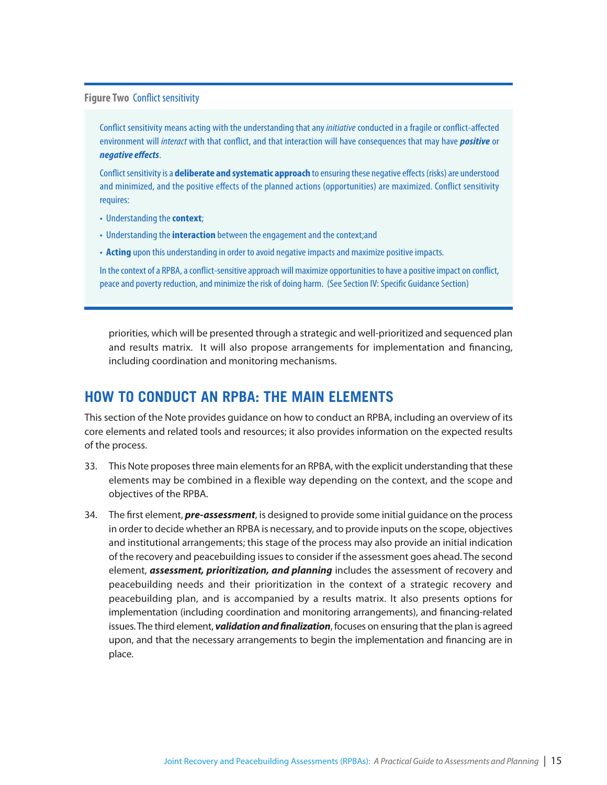#### **Figure Two** Conflict sensitivity

Conflict sensitivity means acting with the understanding that any *initiative* conducted in a fragile or conflict-affected environment will *interact* with that conflict, and that interaction will have consequences that may have **positive** or *negative* effects.

Conflict sensitivity is a **deliberate and systematic approach** to ensuring these negative effects (risks) are understood and minimized, and the positive effects of the planned actions (opportunities) are maximized. Conflict sensitivity requires:

- Understanding the **context**;
- Understanding the **interaction** between the engagement and the context;and
- Acting upon this understanding in order to avoid negative impacts and maximize positive impacts.

In the context of a RPBA, a conflict-sensitive approach will maximize opportunities to have a positive impact on conflict, peace and poverty reduction, and minimize the risk of doing harm. (See Section IV: Specific Guidance Section)

priorities, which will be presented through a strategic and well-prioritized and sequenced plan and results matrix. It will also propose arrangements for implementation and financing, including coordination and monitoring mechanisms.

### **HOW TO CONDUCT AN RPBA: THE MAIN ELEMENTS**

Thissection of the Note provides guidance on how to conduct an RPBA, including an overview of its core elements and related tools and resources; it also provides information on the expected results of the process.

- 33. This Note proposes three main elements for an RPBA, with the explicit understanding that these elements may be combined in a flexible way depending on the context, and the scope and objectives of the RPBA.
- 34. The first element, *pre-assessment*, is designed to provide some initial guidance on the process in order to decide whether an RPBA is necessary, and to provide inputs on the scope, objectives and institutional arrangements; this stage of the process may also provide an initial indication of the recovery and peacebuilding issuesto consider if the assessment goes ahead. The second element, *assessment, prioritization, and planning* includes the assessment of recovery and peacebuilding needs and their prioritization in the context of a strategic recovery and peacebuilding plan, and is accompanied by a results matrix. It also presents options for implementation (including coordination and monitoring arrangements), and financing-related issues. The third element, *validation and finalization*, focuses on ensuring that the plan is agreed upon, and that the necessary arrangements to begin the implementation and financing are in place.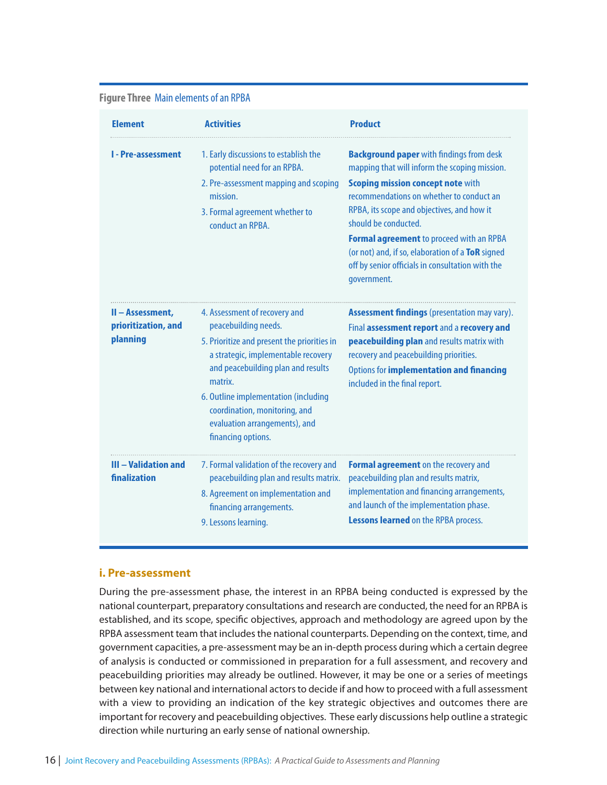#### **Figure Three** Main elements of an RPBA

| <b>Element</b>                                      | <b>Activities</b>                                                                                                                                                                                                                                                                                                           | <b>Product</b>                                                                                                                                                                                                                                                                |
|-----------------------------------------------------|-----------------------------------------------------------------------------------------------------------------------------------------------------------------------------------------------------------------------------------------------------------------------------------------------------------------------------|-------------------------------------------------------------------------------------------------------------------------------------------------------------------------------------------------------------------------------------------------------------------------------|
| I - Pre-assessment                                  | 1. Early discussions to establish the<br>potential need for an RPBA.<br>2. Pre-assessment mapping and scoping<br>mission.<br>3. Formal agreement whether to                                                                                                                                                                 | <b>Background paper</b> with findings from desk<br>mapping that will inform the scoping mission.<br><b>Scoping mission concept note with</b><br>recommendations on whether to conduct an<br>RPBA, its scope and objectives, and how it<br>should be conducted.                |
|                                                     | conduct an RPRA                                                                                                                                                                                                                                                                                                             | <b>Formal agreement</b> to proceed with an RPBA<br>(or not) and, if so, elaboration of a ToR signed<br>off by senior officials in consultation with the<br>government.                                                                                                        |
| II - Assessment.<br>prioritization, and<br>planning | 4. Assessment of recovery and<br>peacebuilding needs.<br>5. Prioritize and present the priorities in<br>a strategic, implementable recovery<br>and peacebuilding plan and results<br>matrix<br>6. Outline implementation (including<br>coordination, monitoring, and<br>evaluation arrangements), and<br>financing options. | <b>Assessment findings</b> (presentation may vary).<br>Final assessment report and a recovery and<br>peacebuilding plan and results matrix with<br>recovery and peacebuilding priorities.<br><b>Options for implementation and financing</b><br>included in the final report. |
| <b>III - Validation and</b><br>finalization         | 7. Formal validation of the recovery and<br>peacebuilding plan and results matrix.<br>8. Agreement on implementation and<br>financing arrangements.<br>9. Lessons learning.                                                                                                                                                 | <b>Formal agreement</b> on the recovery and<br>peacebuilding plan and results matrix,<br>implementation and financing arrangements,<br>and launch of the implementation phase.<br>Lessons learned on the RPBA process.                                                        |

#### **i. Pre-assessment**

During the pre-assessment phase, the interest in an RPBA being conducted is expressed by the national counterpart, preparatory consultations and research are conducted, the need for an RPBA is established, and its scope, specific objectives, approach and methodology are agreed upon by the RPBA assessment team that includes the national counterparts. Depending on the context, time, and government capacities, a pre-assessment may be an in-depth process during which a certain degree of analysis is conducted or commissioned in preparation for a full assessment, and recovery and peacebuilding priorities may already be outlined. However, it may be one or a series of meetings between key national and international actors to decide if and how to proceed with a full assessment with a view to providing an indication of the key strategic objectives and outcomes there are important for recovery and peacebuilding objectives. These early discussions help outline a strategic direction while nurturing an early sense of national ownership.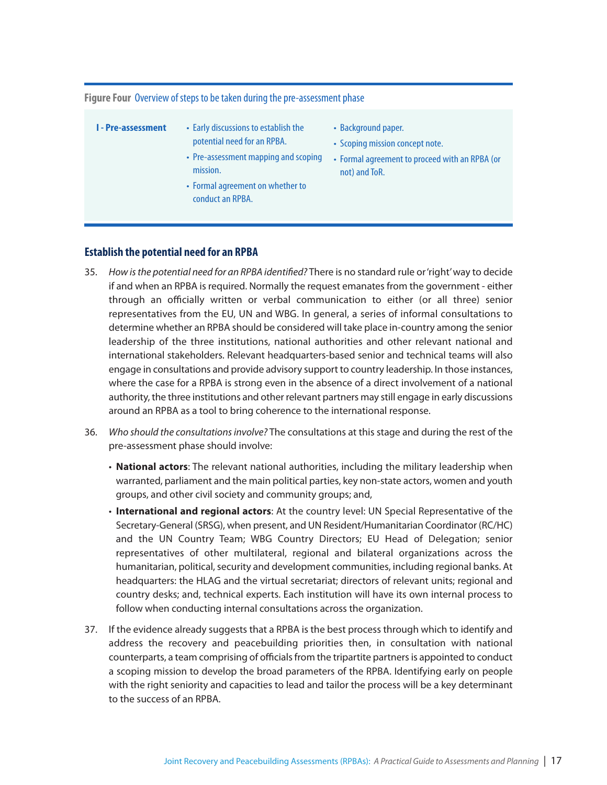#### **Figure Four** Overview of steps to be taken during the pre-assessment phase

- **I - Pre-assessment** Earlydiscussions toestablish the potential need for an RPBA.
- Background paper.
- Scoping mission concept note.
- Pre-assessment mapping and scoping mission.
- Formal agreement on whether to conduct an RPBA.
- Formal agreement to proceed with an RPBA (or not) and ToR.

#### **Establish the potential need for an RPBA**

- 35. How is the potential need for an RPBA identified? There is no standard rule or 'right' way to decide if and when an RPBA is required. Normally the request emanates from the government - either through an officially written or verbal communication to either (or all three) senior representatives from the EU, UN and WBG. In general, a series of informal consultations to determine whether an RPBA should be considered will take place in-country among the senior leadership of the three institutions, national authorities and other relevant national and international stakeholders. Relevant headquarters-based senior and technical teams will also engage in consultations and provide advisory support to country leadership. In those instances, where the case for a RPBA is strong even in the absence of a direct involvement of a national authority, the three institutions and other relevant partners may still engage in early discussions around an RPBA as a tool to bring coherence to the international response.
- 36. Who should the consultations involve? The consultations at this stage and during the rest of the pre-assessment phase should involve:
	- **National actors**: The relevant national authorities, including the military leadership when warranted, parliament and the main political parties, key non-state actors, women and youth groups, and other civil society and community groups; and,
	- **International and regional actors**: At the country level: UN Special Representative of the Secretary-General (SRSG), when present, and UN Resident/Humanitarian Coordinator (RC/HC) and the UN Country Team; WBG Country Directors; EU Head of Delegation; senior representatives of other multilateral, regional and bilateral organizations across the humanitarian, political, security and development communities, including regional banks. At headquarters: the HLAG and the virtual secretariat; directors of relevant units; regional and country desks; and, technical experts. Each institution will have its own internal process to follow when conducting internal consultations across the organization.
- 37. If the evidence already suggests that a RPBA is the best process through which to identify and address the recovery and peacebuilding priorities then, in consultation with national counterparts, a team comprising of officials from the tripartite partners is appointed to conduct a scoping mission to develop the broad parameters of the RPBA. Identifying early on people with the right seniority and capacities to lead and tailor the process will be a key determinant to the success of an RPBA.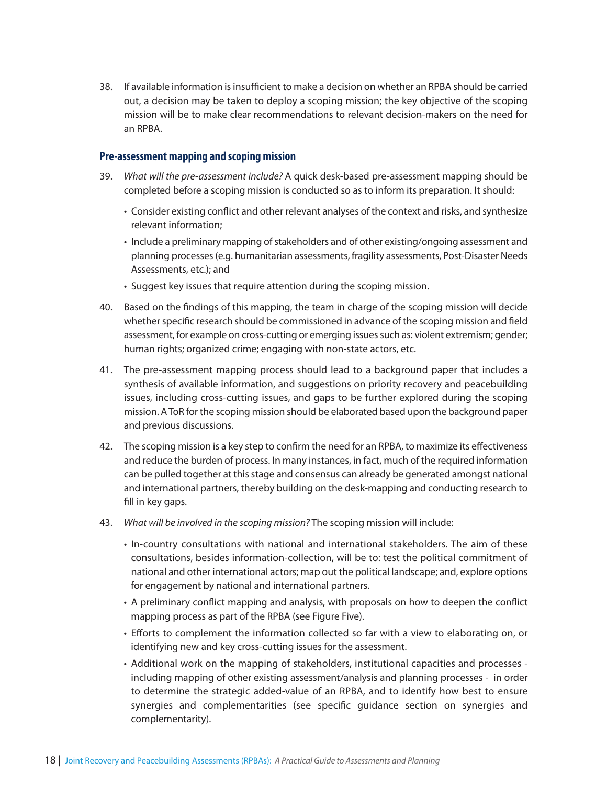38. If available information isinsufficient to make a decision on whether an RPBA should be carried out, a decision may be taken to deploy a scoping mission; the key objective of the scoping mission will be to make clear recommendations to relevant decision-makers on the need for an RPBA.

#### **Pre-assessment mapping and scoping mission**

- 39. What will the pre-assessment include? A quick desk-based pre-assessment mapping should be completed before a scoping mission is conducted so as to inform its preparation. It should:
	- Consider existing conflict and other relevant analyses of the context and risks, and synthesize relevant information;
	- Include a preliminary mapping ofstakeholders and of other existing/ongoing assessment and planning processes(e.g. humanitarian assessments, fragility assessments, Post-Disaster Needs Assessments, etc.); and
	- Suggest key issues that require attention during the scoping mission.
- 40. Based on the findings of this mapping, the team in charge of the scoping mission will decide whether specific research should be commissioned in advance of the scoping mission and field assessment, for example on cross-cutting or emerging issues such as: violent extremism; gender; human rights; organized crime; engaging with non-state actors, etc.
- 41. The pre-assessment mapping process should lead to a background paper that includes a synthesis of available information, and suggestions on priority recovery and peacebuilding issues, including cross-cutting issues, and gaps to be further explored during the scoping mission. AToR for the scoping mission should be elaborated based upon the background paper and previous discussions.
- 42. The scoping mission is a key step to confirm the need for an RPBA, to maximize its effectiveness and reduce the burden of process. In many instances, in fact, much of the required information can be pulled together at this stage and consensus can already be generated amongst national and international partners, thereby building on the desk-mapping and conducting research to fill in key gaps.
- 43. What will be involved in the scoping mission? The scoping mission will include:
	- In-country consultations with national and international stakeholders. The aim of these consultations, besides information-collection, will be to: test the political commitment of national and other international actors; map out the political landscape; and, explore options for engagement by national and international partners.
	- A preliminary conflict mapping and analysis, with proposals on how to deepen the conflict mapping process as part of the RPBA (see Figure Five).
	- Efforts to complement the information collected so far with a view to elaborating on, or identifying new and key cross-cutting issues for the assessment.
	- Additional work on the mapping of stakeholders, institutional capacities and processes including mapping of other existing assessment/analysis and planning processes - in order to determine the strategic added-value of an RPBA, and to identify how best to ensure synergies and complementarities (see specific guidance section on synergies and complementarity).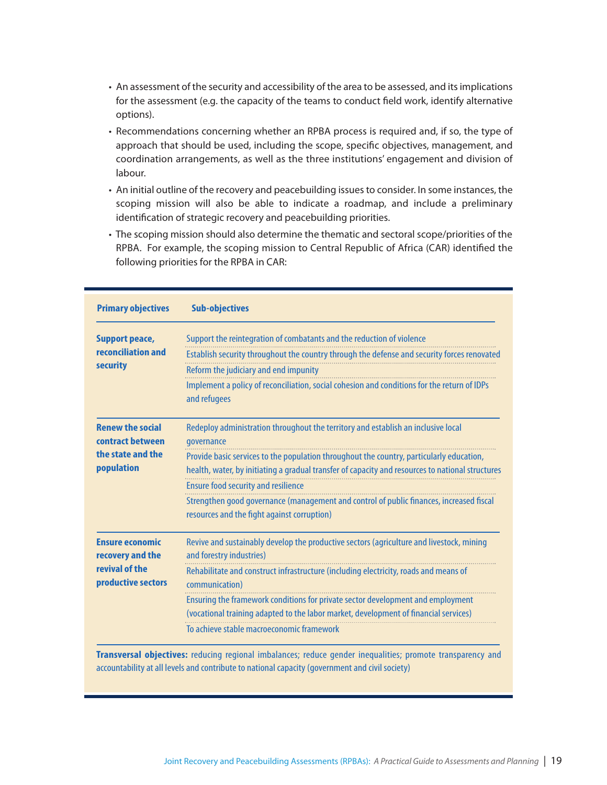- An assessment of the security and accessibility of the area to be assessed, and its implications for the assessment (e.g. the capacity of the teams to conduct field work, identify alternative options).
- Recommendations concerning whether an RPBA process is required and, if so, the type of approach that should be used, including the scope, specific objectives, management, and coordination arrangements, as well as the three institutions' engagement and division of labour.
- An initial outline of the recovery and peacebuilding issuesto consider. In some instances, the scoping mission will also be able to indicate a roadmap, and include a preliminary identification of strategic recovery and peacebuilding priorities.
- The scoping mission should also determine the thematic and sectoral scope/priorities of the RPBA. For example, the scoping mission to Central Republic of Africa (CAR) identified the following priorities for the RPBA in CAR:

| <b>Primary objectives</b>                   | <b>Sub-objectives</b>                                                                                                                                                                        |  |  |
|---------------------------------------------|----------------------------------------------------------------------------------------------------------------------------------------------------------------------------------------------|--|--|
| <b>Support peace,</b>                       | Support the reintegration of combatants and the reduction of violence                                                                                                                        |  |  |
| reconciliation and<br>security              | Establish security throughout the country through the defense and security forces renovated                                                                                                  |  |  |
|                                             | Reform the judiciary and end impunity                                                                                                                                                        |  |  |
|                                             | Implement a policy of reconciliation, social cohesion and conditions for the return of IDPs<br>and refugees                                                                                  |  |  |
| <b>Renew the social</b><br>contract between | Redeploy administration throughout the territory and establish an inclusive local<br>qovernance                                                                                              |  |  |
| the state and the<br>population             | Provide basic services to the population throughout the country, particularly education,<br>health, water, by initiating a gradual transfer of capacity and resources to national structures |  |  |
|                                             | <b>Ensure food security and resilience</b>                                                                                                                                                   |  |  |
|                                             | Strengthen good governance (management and control of public finances, increased fiscal<br>resources and the fight against corruption)                                                       |  |  |
| <b>Ensure economic</b><br>recovery and the  | Revive and sustainably develop the productive sectors (agriculture and livestock, mining<br>and forestry industries)                                                                         |  |  |
| revival of the<br>productive sectors        | Rehabilitate and construct infrastructure (including electricity, roads and means of<br>communication)                                                                                       |  |  |
|                                             | Ensuring the framework conditions for private sector development and employment<br>(vocational training adapted to the labor market, development of financial services)                      |  |  |
|                                             | To achieve stable macroeconomic framework                                                                                                                                                    |  |  |

**Transversal objectives:** reducing regional imbalances; reduce gender inequalities; promote transparency and accountability at all levels and contribute to national capacity (government and civil society)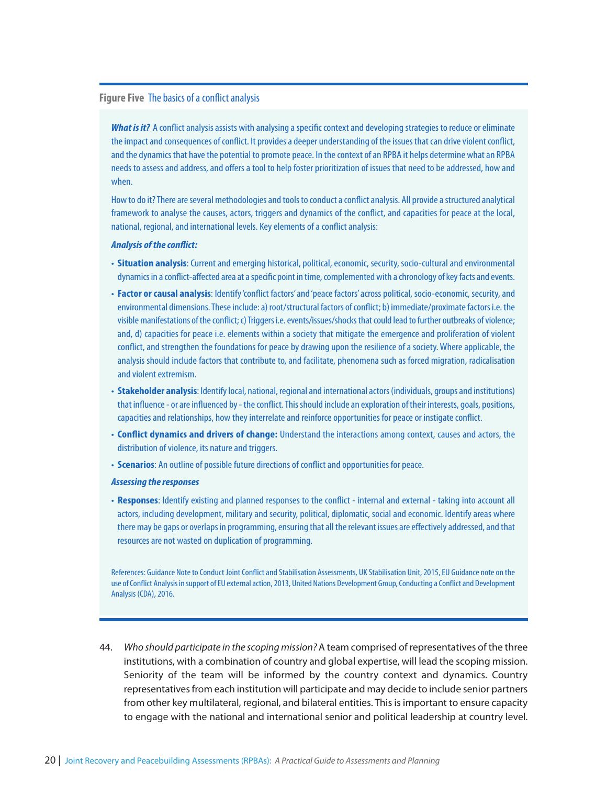#### **Figure Five The basics of a conflict analysis**

*What is it?* A conflict analysis assists with analysing a specific context and developing strategies to reduce or eliminate the impact and consequences of conflict. It provides a deeper understanding of the issues that can drive violent conflict, and the dynamics that have the potential to promote peace. In the context of an RPBA it helps determine what an RPBA needs to assess and address, and offers a tool to help foster prioritization of issues that need to be addressed, how and when.

How to do it? There are several methodologies and tools to conduct a conflict analysis. All provide a structured analytical framework to analyse the causes, actors, triggers and dynamics of the conflict, and capacities for peace at the local, national, regional, and international levels. Key elements of a conflict analysis:

#### *Analysis of theconflict:*

- **Situation analysis**: Current and emerging historical, political, economic, security, socio-cultural and environmental dynamics in a conflict-affected area at a specific point in time, complemented with a chronology of key facts and events.
- **Factor or causal analysis**: Identify'conflict factors'and'peacefactors'acrosspolitical, socio-economic, security,and environmental dimensions. These include: a) root/structural factors of conflict; b) immediate/proximate factors i.e. the visible manifestations of the conflict; c) Triggers i.e. events/issues/shocks that could lead to further outbreaks of violence; and, d) capacities for peace i.e. elements within a society that mitigate the emergence and proliferation of violent conflict, and strengthen the foundations for peace by drawing upon the resilience of a society. Where applicable, the analysis should include factors that contribute to, and facilitate, phenomena such as forced migration, radicalisation and violent extremism.
- **Stakeholder analysis**: Identify local, national, regional and international actors (individuals, groups and institutions) that influence - or are influenced by - the conflict. This should include an exploration of their interests, goals, positions, capacities and relationships, how they interrelate and reinforce opportunities for peace or instigate conflict.
- **Conflict dynamics and drivers of change:** Understand the interactions among context, causes and actors, the distribution of violence, its nature and triggers.
- **Scenarios**: An outline of possible future directions of conflict and opportunities for peace.

#### *Assessing theresponses*

• Responses: Identify existing and planned responses to the conflict - internal and external - taking into account all actors, including development, military and security, political, diplomatic, social and economic. Identify areas where there may be gaps or overlaps in programming, ensuring that all the relevant issues are effectively addressed, and that resources are not wasted on duplication of programming.

References: Guidance Note to Conduct Joint Conflict and Stabilisation Assessments, UK Stabilisation Unit, 2015, EU Guidance note on the use of Conflict Analysis in support of EU external action, 2013, United Nations Development Group, Conducting a Conflict and Development Analysis (CDA), 2016.

44. Who should participate in the scoping mission? A team comprised of representatives of the three institutions, with a combination of country and global expertise, will lead the scoping mission. Seniority of the team will be informed by the country context and dynamics. Country representatives from each institution will participate and may decide to include senior partners from other key multilateral, regional, and bilateral entities. This is important to ensure capacity to engage with the national and international senior and political leadership at country level.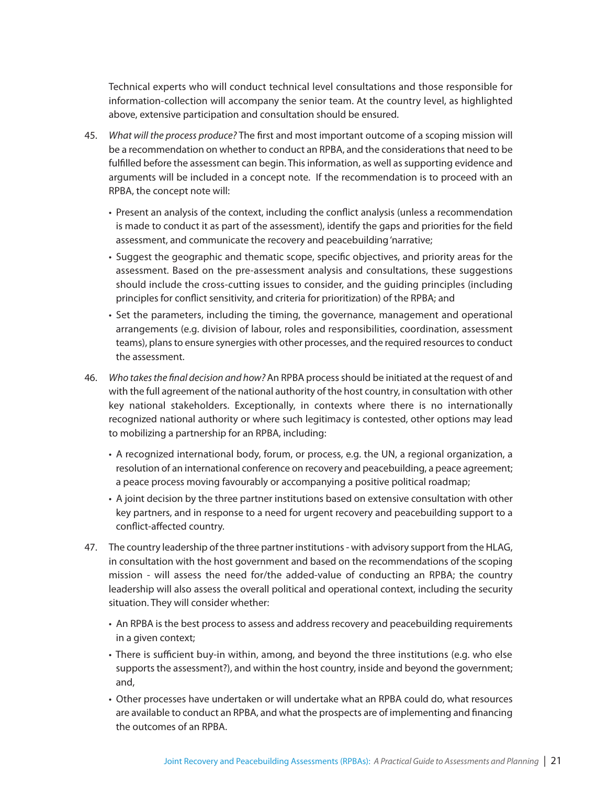Technical experts who will conduct technical level consultations and those responsible for information-collection will accompany the senior team. At the country level, as highlighted above, extensive participation and consultation should be ensured.

- 45. What will the process produce? The first and most important outcome of a scoping mission will be a recommendation on whether to conduct an RPBA, and the considerations that need to be fulfilled before the assessment can begin. This information, as well as supporting evidence and arguments will be included in a concept note. If the recommendation is to proceed with an RPBA, the concept note will:
	- Present an analysis of the context, including the conflict analysis (unless a recommendation is made to conduct it as part of the assessment), identify the gaps and priorities for the field assessment, and communicate the recovery and peacebuilding'narrative;
	- Suggest the geographic and thematic scope, specific objectives, and priority areas for the assessment. Based on the pre-assessment analysis and consultations, these suggestions should include the cross-cutting issues to consider, and the guiding principles (including principles for conflict sensitivity, and criteria for prioritization) of the RPBA; and
	- Set the parameters, including the timing, the governance, management and operational arrangements (e.g. division of labour, roles and responsibilities, coordination, assessment teams), plans to ensure synergies with other processes, and the required resources to conduct the assessment.
- 46. Who takes the final decision and how? An RPBA process should be initiated at the request of and with the full agreement of the national authority of the host country, in consultation with other key national stakeholders. Exceptionally, in contexts where there is no internationally recognized national authority or where such legitimacy is contested, other options may lead to mobilizing a partnership for an RPBA, including:
	- A recognized international body, forum, or process, e.g. the UN, a regional organization, a resolution of an international conference on recovery and peacebuilding, a peace agreement; a peace process moving favourably or accompanying a positive political roadmap;
	- A joint decision by the three partner institutions based on extensive consultation with other key partners, and in response to a need for urgent recovery and peacebuilding support to a conflict-affected country.
- 47. The country leadership of the three partner institutions- with advisory support from the HLAG, in consultation with the host government and based on the recommendations of the scoping mission - will assess the need for/the added-value of conducting an RPBA; the country leadership will also assess the overall political and operational context, including the security situation. They will consider whether:
	- An RPBA is the best process to assess and address recovery and peacebuilding requirements in a given context;
	- There is sufficient buy-in within, among, and beyond the three institutions (e.g. who else supports the assessment?), and within the host country, inside and beyond the government; and,
	- Other processes have undertaken or will undertake what an RPBA could do, what resources are available to conduct an RPBA, and what the prospects are of implementing and financing the outcomes of an RPBA.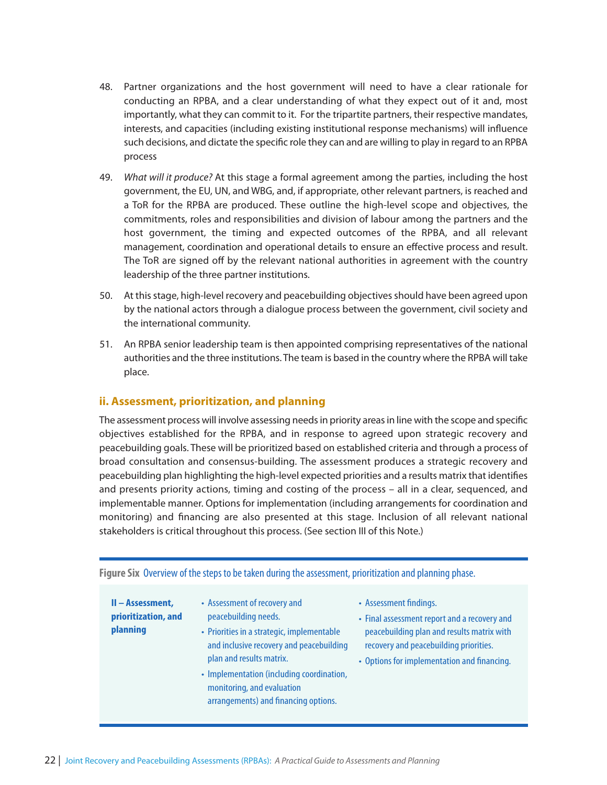- 48. Partner organizations and the host government will need to have a clear rationale for conducting an RPBA, and a clear understanding of what they expect out of it and, most importantly, what they can commit to it. For the tripartite partners, their respective mandates, interests, and capacities (including existing institutional response mechanisms) will influence such decisions, and dictate the specific role they can and are willing to play in regard to an RPBA process
- 49. What will it produce? At this stage a formal agreement among the parties, including the host government, the EU, UN, and WBG, and, if appropriate, other relevant partners, is reached and a ToR for the RPBA are produced. These outline the high-level scope and objectives, the commitments, roles and responsibilities and division of labour among the partners and the host government, the timing and expected outcomes of the RPBA, and all relevant management, coordination and operational details to ensure an effective process and result. The ToR are signed off by the relevant national authorities in agreement with the country leadership of the three partner institutions.
- 50. At thisstage, high-level recovery and peacebuilding objectivesshould have been agreed upon by the national actors through a dialogue process between the government, civil society and the international community.
- 51. An RPBA senior leadership team is then appointed comprising representatives of the national authorities and the three institutions. The team is based in the country where the RPBA will take place.

#### **ii. Assessment, prioritization, and planning**

The assessment process will involve assessing needs in priority areas in line with the scope and specific objectives established for the RPBA, and in response to agreed upon strategic recovery and peacebuilding goals. These will be prioritized based on established criteria and through a process of broad consultation and consensus-building. The assessment produces a strategic recovery and peacebuilding plan highlighting the high-level expected priorities and a results matrix that identifies and presents priority actions, timing and costing of the process – all in a clear, sequenced, and implementable manner. Options for implementation (including arrangements for coordination and monitoring) and financing are also presented at this stage. Inclusion of all relevant national stakeholders is critical throughout this process. (See section III of this Note.)

**Figure Six** Overview of the steps to be taken during the assessment, prioritization and planning phase.

**II – Assessment, prioritization, and planning**

- Assessment of recovery and peacebuilding needs.
- Priorities in a strategic, implementable and inclusive recovery and peacebuilding plan and results matrix.
- Implementation (including coordination, monitoring, and evaluation arrangements) and financing options.
- Assessment findings.
- Final assessment report and a recovery and peacebuilding plan and results matrix with recovery and peacebuilding priorities.
- Options for implementation and financing.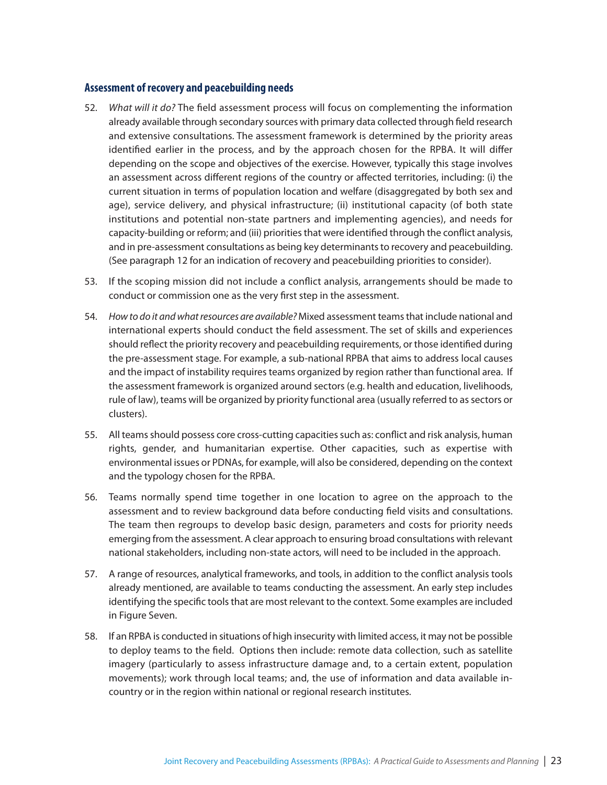#### **Assessment of recovery and peacebuilding needs**

- 52. What will it do? The field assessment process will focus on complementing the information already available through secondary sources with primary data collected through field research and extensive consultations. The assessment framework is determined by the priority areas identified earlier in the process, and by the approach chosen for the RPBA. It will differ depending on the scope and objectives of the exercise. However, typically this stage involves an assessment across different regions of the country or affected territories, including: (i) the current situation in terms of population location and welfare (disaggregated by both sex and age), service delivery, and physical infrastructure; (ii) institutional capacity (of both state institutions and potential non-state partners and implementing agencies), and needs for capacity-building or reform; and (iii) priorities that were identified through the conflict analysis, and in pre-assessment consultations as being key determinants to recovery and peacebuilding. (See paragraph 12 for an indication of recovery and peacebuilding priorities to consider).
- 53. If the scoping mission did not include a conflict analysis, arrangements should be made to conduct or commission one as the very first step in the assessment.
- 54. How to do it and what resources are available? Mixed assessment teams that include national and international experts should conduct the field assessment. The set of skills and experiences should reflect the priority recovery and peacebuilding requirements, or those identified during the pre-assessment stage. For example, a sub-national RPBA that aims to address local causes and the impact of instability requires teams organized by region rather than functional area. If the assessment framework is organized around sectors (e.g. health and education, livelihoods, rule of law), teams will be organized by priority functional area (usually referred to as sectors or clusters).
- 55. All teams should possess core cross-cutting capacities such as: conflict and risk analysis, human rights, gender, and humanitarian expertise. Other capacities, such as expertise with environmental issues or PDNAs, for example, will also be considered, depending on the context and the typology chosen for the RPBA.
- 56. Teams normally spend time together in one location to agree on the approach to the assessment and to review background data before conducting field visits and consultations. The team then regroups to develop basic design, parameters and costs for priority needs emerging from the assessment. A clear approach to ensuring broad consultations with relevant national stakeholders, including non-state actors, will need to be included in the approach.
- 57. A range of resources, analytical frameworks, and tools, in addition to the conflict analysis tools already mentioned, are available to teams conducting the assessment. An early step includes identifying the specific tools that are most relevant to the context. Some examples are included in Figure Seven.
- 58. If an RPBA is conducted in situations of high insecurity with limited access, it may not be possible to deploy teams to the field. Options then include: remote data collection, such as satellite imagery (particularly to assess infrastructure damage and, to a certain extent, population movements); work through local teams; and, the use of information and data available incountry or in the region within national or regional research institutes.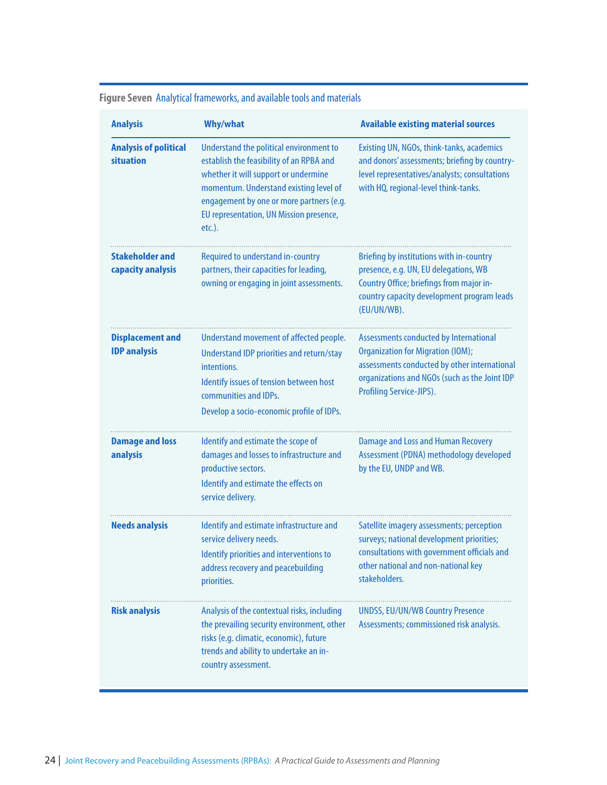| <b>Analysis</b>                                | <b>Why/what</b>                                                                                                                                                                                                                                                        | <b>Available existing material sources</b>                                                                                                                                                                      |  |  |
|------------------------------------------------|------------------------------------------------------------------------------------------------------------------------------------------------------------------------------------------------------------------------------------------------------------------------|-----------------------------------------------------------------------------------------------------------------------------------------------------------------------------------------------------------------|--|--|
| <b>Analysis of political</b><br>situation      | Understand the political environment to<br>establish the feasibility of an RPBA and<br>whether it will support or undermine<br>momentum. Understand existing level of<br>engagement by one or more partners (e.g.<br>EU representation, UN Mission presence,<br>etc.). | Existing UN, NGOs, think-tanks, academics<br>and donors' assessments; briefing by country-<br>level representatives/analysts; consultations<br>with HQ, regional-level think-tanks.                             |  |  |
| <b>Stakeholder and</b><br>capacity analysis    | Required to understand in-country<br>partners, their capacities for leading,<br>owning or engaging in joint assessments.                                                                                                                                               | Briefing by institutions with in-country<br>presence, e.g. UN, EU delegations, WB<br>Country Office; briefings from major in-<br>country capacity development program leads<br>(EU/UN/WB).                      |  |  |
| <b>Displacement and</b><br><b>IDP analysis</b> | Understand movement of affected people.<br>Understand IDP priorities and return/stay<br><b>intentions</b><br>Identify issues of tension between host<br>communities and IDPs.<br>Develop a socio-economic profile of IDPs.                                             | Assessments conducted by International<br><b>Organization for Migration (IOM);</b><br>assessments conducted by other international<br>organizations and NGOs (such as the Joint IDP<br>Profiling Service-JIPS). |  |  |
| <b>Damage and loss</b><br>analysis             | Identify and estimate the scope of<br>damages and losses to infrastructure and<br>productive sectors.<br>Identify and estimate the effects on<br>service delivery.                                                                                                     | <b>Damage and Loss and Human Recovery</b><br>Assessment (PDNA) methodology developed<br>by the EU, UNDP and WB.                                                                                                 |  |  |
| <b>Needs analysis</b>                          | Identify and estimate infrastructure and<br>service delivery needs.<br>Identify priorities and interventions to<br>address recovery and peacebuilding<br>priorities.                                                                                                   | Satellite imagery assessments; perception<br>surveys; national development priorities;<br>consultations with government officials and<br>other national and non-national key<br>stakeholders.                   |  |  |
| <b>Risk analysis</b>                           | Analysis of the contextual risks, including<br>the prevailing security environment, other<br>risks (e.g. climatic, economic), future<br>trends and ability to undertake an in-<br>country assessment.                                                                  | <b>UNDSS, EU/UN/WB Country Presence</b><br>Assessments; commissioned risk analysis.                                                                                                                             |  |  |

## **Figure Seven** Analytical frameworks, and available tools and materials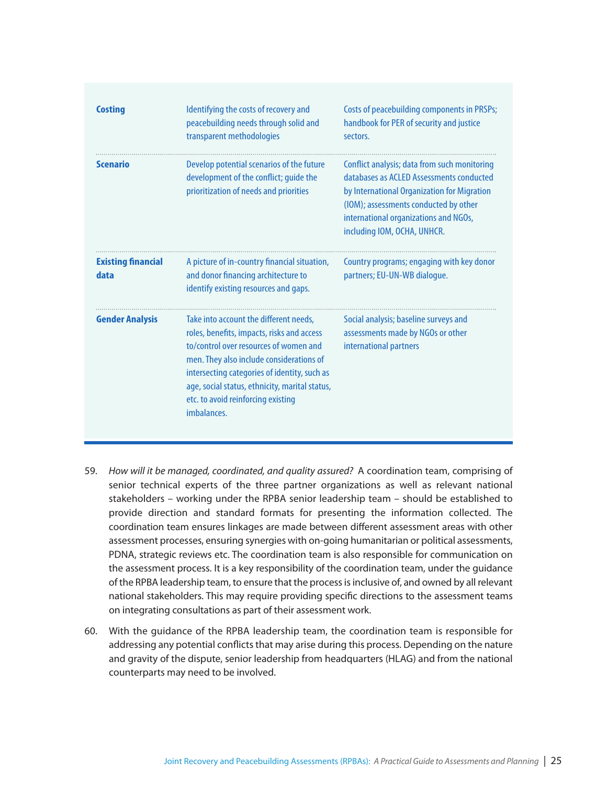| <b>Costing</b>                    | Identifying the costs of recovery and<br>peacebuilding needs through solid and<br>transparent methodologies                                                                                                                                                                                                                       | Costs of peacebuilding components in PRSPs;<br>handbook for PER of security and justice<br>sectors.                                                                                                                                                      |
|-----------------------------------|-----------------------------------------------------------------------------------------------------------------------------------------------------------------------------------------------------------------------------------------------------------------------------------------------------------------------------------|----------------------------------------------------------------------------------------------------------------------------------------------------------------------------------------------------------------------------------------------------------|
| <b>Scenario</b>                   | Develop potential scenarios of the future<br>development of the conflict; quide the<br>prioritization of needs and priorities                                                                                                                                                                                                     | Conflict analysis; data from such monitoring<br>databases as ACLED Assessments conducted<br>by International Organization for Migration<br>(IOM); assessments conducted by other<br>international organizations and NGOs,<br>including IOM, OCHA, UNHCR. |
| <b>Existing financial</b><br>data | A picture of in-country financial situation,<br>and donor financing architecture to<br>identify existing resources and gaps.                                                                                                                                                                                                      | Country programs; engaging with key donor<br>partners; EU-UN-WB dialogue.                                                                                                                                                                                |
| <b>Gender Analysis</b>            | Take into account the different needs,<br>roles, benefits, impacts, risks and access<br>to/control over resources of women and<br>men. They also include considerations of<br>intersecting categories of identity, such as<br>age, social status, ethnicity, marital status,<br>etc. to avoid reinforcing existing<br>imbalances. | Social analysis; baseline surveys and<br>assessments made by NGOs or other<br>international partners                                                                                                                                                     |

- 59. How will it be managed, coordinated, and quality assured? A coordination team, comprising of senior technical experts of the three partner organizations as well as relevant national stakeholders – working under the RPBA senior leadership team – should be established to provide direction and standard formats for presenting the information collected. The coordination team ensures linkages are made between different assessment areas with other assessment processes, ensuring synergies with on-going humanitarian or political assessments, PDNA, strategic reviews etc. The coordination team is also responsible for communication on the assessment process. It is a key responsibility of the coordination team, under the guidance of the RPBA leadership team, to ensure that the processisinclusive of, and owned by all relevant national stakeholders. This may require providing specific directions to the assessment teams on integrating consultations as part of their assessment work.
- 60. With the guidance of the RPBA leadership team, the coordination team is responsible for addressing any potential conflicts that may arise during this process. Depending on the nature and gravity of the dispute, senior leadership from headquarters (HLAG) and from the national counterparts may need to be involved.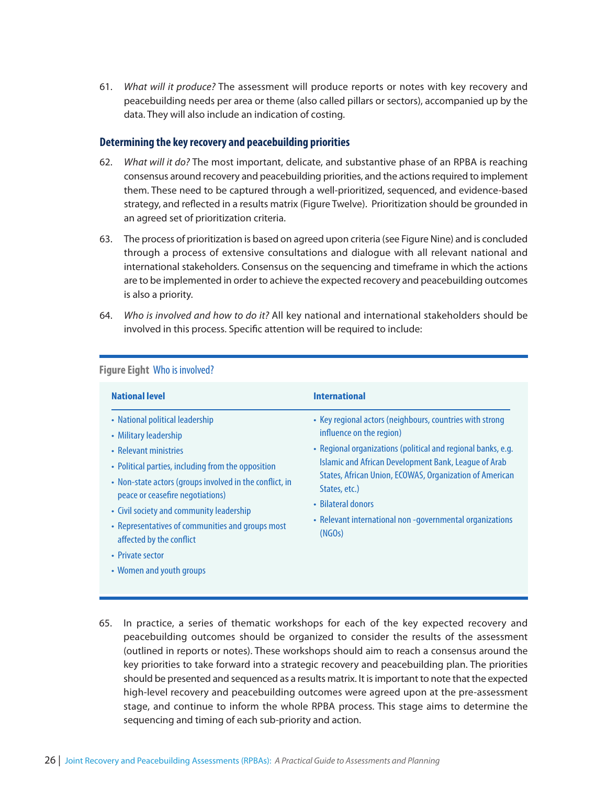61. What will it produce? The assessment will produce reports or notes with key recovery and peacebuilding needs per area or theme (also called pillars or sectors), accompanied up by the data. They will also include an indication of costing.

#### **Determining the keyrecovery and peacebuilding priorities**

- 62. What will it do? The most important, delicate, and substantive phase of an RPBA is reaching consensus around recovery and peacebuilding priorities, and the actions required to implement them. These need to be captured through a well-prioritized, sequenced, and evidence-based strategy, and reflected in a results matrix (Figure Twelve). Prioritization should be grounded in an agreed set of prioritization criteria.
- 63. The process of prioritization is based on agreed upon criteria (see Figure Nine) and is concluded through a process of extensive consultations and dialogue with all relevant national and international stakeholders. Consensus on the sequencing and timeframe in which the actions are to be implemented in order to achieve the expected recovery and peacebuilding outcomes is also a priority.
- 64. Who is involved and how to do it? All key national and international stakeholders should be involved in this process. Specific attention will be required to include:

| <b>National level</b>                                                                                                                                                                                                                                                                                                                                                                                              | <b>International</b>                                                                                                                                                                                                                                                                                                                                                                               |
|--------------------------------------------------------------------------------------------------------------------------------------------------------------------------------------------------------------------------------------------------------------------------------------------------------------------------------------------------------------------------------------------------------------------|----------------------------------------------------------------------------------------------------------------------------------------------------------------------------------------------------------------------------------------------------------------------------------------------------------------------------------------------------------------------------------------------------|
| • National political leadership<br>• Military leadership<br>• Relevant ministries<br>• Political parties, including from the opposition<br>• Non-state actors (groups involved in the conflict, in<br>peace or ceasefire negotiations)<br>• Civil society and community leadership<br>• Representatives of communities and groups most<br>affected by the conflict<br>• Private sector<br>• Women and youth groups | • Key regional actors (neighbours, countries with strong<br>influence on the region)<br>• Regional organizations (political and regional banks, e.g.<br><b>Islamic and African Development Bank, League of Arab</b><br><b>States, African Union, ECOWAS, Organization of American</b><br>States, etc.)<br>• Bilateral donors<br>• Relevant international non -governmental organizations<br>(NGOs) |

#### **Figure Eight Who is involved?**

65. In practice, a series of thematic workshops for each of the key expected recovery and peacebuilding outcomes should be organized to consider the results of the assessment (outlined in reports or notes). These workshops should aim to reach a consensus around the key priorities to take forward into a strategic recovery and peacebuilding plan. The priorities should be presented and sequenced as a results matrix. It isimportant to note that the expected high-level recovery and peacebuilding outcomes were agreed upon at the pre-assessment stage, and continue to inform the whole RPBA process. This stage aims to determine the sequencing and timing of each sub-priority and action.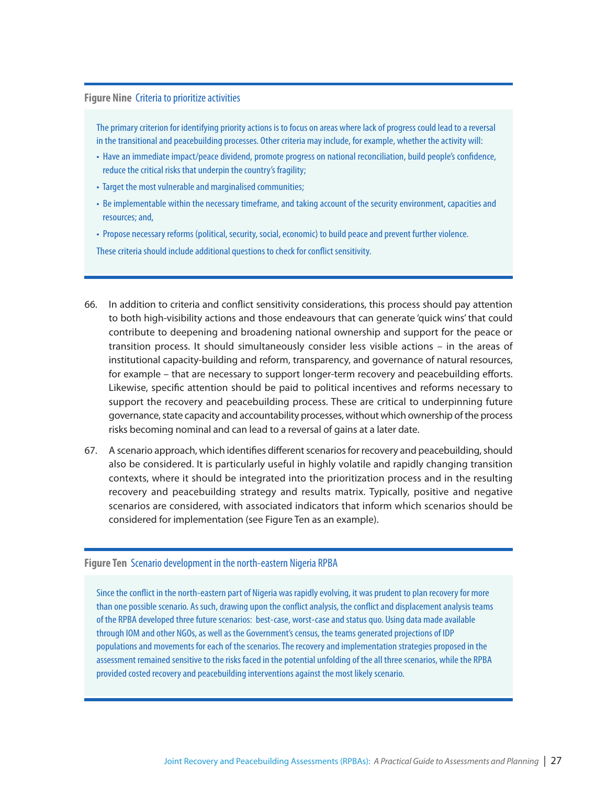#### **Figure Nine Criteria to prioritize activities**

The primary criterion for identifying priority actions is to focus on areas where lack of progress could lead to a reversal in the transitional and peacebuilding processes. Other criteria may include, for example, whether the activity will:

- Have an immediate impact/peace dividend, promote progress on national reconciliation, build people's confidence, reduce the critical risks that underpin the country's fragility;
- Target the most vulnerable and marginalised communities;
- Be implementable within the necessary timeframe, and taking account of the security environment, capacities and resources;and,
- Propose necessary reforms (political, security, social, economic) to build peace and prevent further violence. These criteria should include additional questions to check for conflict sensitivity.
- 66. In addition to criteria and conflict sensitivity considerations, this process should pay attention to both high-visibility actions and those endeavours that can generate 'quick wins' that could contribute to deepening and broadening national ownership and support for the peace or transition process. It should simultaneously consider less visible actions – in the areas of institutional capacity-building and reform, transparency, and governance of natural resources, for example – that are necessary to support longer-term recovery and peacebuilding efforts. Likewise, specific attention should be paid to political incentives and reforms necessary to support the recovery and peacebuilding process. These are critical to underpinning future governance, state capacity and accountability processes, without which ownership of the process risks becoming nominal and can lead to a reversal of gains at a later date.
- 67. A scenario approach, which identifies different scenarios for recovery and peacebuilding, should also be considered. It is particularly useful in highly volatile and rapidly changing transition contexts, where it should be integrated into the prioritization process and in the resulting recovery and peacebuilding strategy and results matrix. Typically, positive and negative scenarios are considered, with associated indicators that inform which scenarios should be considered for implementation (see Figure Ten as an example).

#### **Figure Ten** Scenario development in the north-eastern Nigeria RPBA

Since the conflict in the north-eastern part of Nigeria was rapidly evolving, it was prudent to plan recovery for more than one possible scenario. As such, drawing upon the conflict analysis, the conflict and displacement analysis teams of the RPBA developed three future scenarios: best-case, worst-case and status quo. Using data made available through IOM and other NGOs, as well as the Government's census, the teams generated projections of IDP populations and movements for each of the scenarios. The recovery and implementation strategies proposed in the assessment remained sensitive to the risks faced in the potential unfolding of the all three scenarios, while the RPBA provided costed recovery and peacebuilding interventions against the most likely scenario.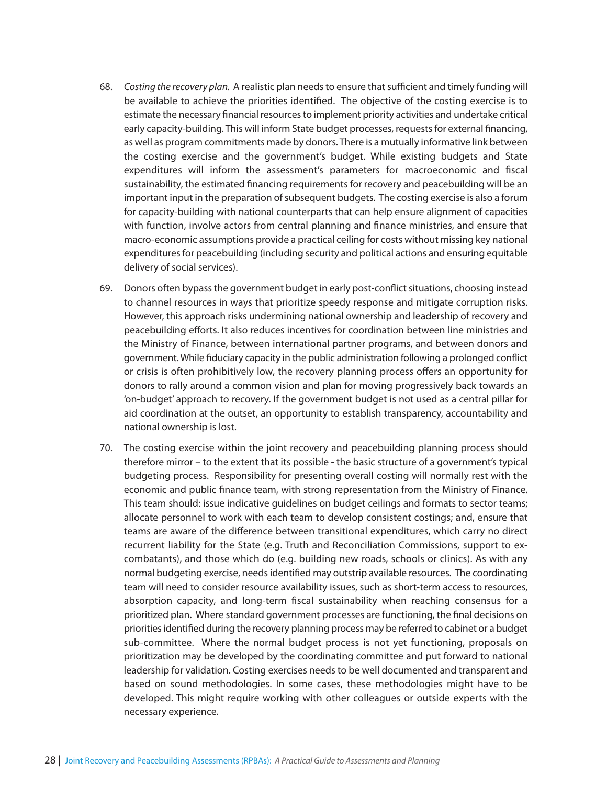- 68. Costing the recovery plan. A realistic plan needs to ensure that sufficient and timely funding will be available to achieve the priorities identified. The objective of the costing exercise is to estimate the necessary financial resources to implement priority activities and undertake critical early capacity-building. This will inform State budget processes, requests for external financing, as well as program commitments made by donors. There is a mutually informative link between the costing exercise and the government's budget. While existing budgets and State expenditures will inform the assessment's parameters for macroeconomic and fiscal sustainability, the estimated financing requirements for recovery and peacebuilding will be an important input in the preparation of subsequent budgets. The costing exercise is also a forum for capacity-building with national counterparts that can help ensure alignment of capacities with function, involve actors from central planning and finance ministries, and ensure that macro-economic assumptions provide a practical ceiling for costs without missing key national expenditures for peacebuilding (including security and political actions and ensuring equitable delivery of social services).
- 69. Donors often bypass the government budget in early post-conflict situations, choosing instead to channel resources in ways that prioritize speedy response and mitigate corruption risks. However, this approach risks undermining national ownership and leadership of recovery and peacebuilding efforts. It also reduces incentives for coordination between line ministries and the Ministry of Finance, between international partner programs, and between donors and government.While fiduciary capacity in the public administration following a prolonged conflict or crisis is often prohibitively low, the recovery planning process offers an opportunity for donors to rally around a common vision and plan for moving progressively back towards an 'on-budget' approach to recovery. If the government budget is not used as a central pillar for aid coordination at the outset, an opportunity to establish transparency, accountability and national ownership is lost.
- 70. The costing exercise within the joint recovery and peacebuilding planning process should therefore mirror – to the extent that its possible - the basic structure of a government's typical budgeting process. Responsibility for presenting overall costing will normally rest with the economic and public finance team, with strong representation from the Ministry of Finance. This team should: issue indicative guidelines on budget ceilings and formats to sector teams; allocate personnel to work with each team to develop consistent costings; and, ensure that teams are aware of the difference between transitional expenditures, which carry no direct recurrent liability for the State (e.g. Truth and Reconciliation Commissions, support to excombatants), and those which do (e.g. building new roads, schools or clinics). As with any normal budgeting exercise, needsidentified may outstrip available resources. The coordinating team will need to consider resource availability issues, such as short-term access to resources, absorption capacity, and long-term fiscal sustainability when reaching consensus for a prioritized plan. Where standard government processes are functioning, the final decisions on prioritiesidentified during the recovery planning process may be referred to cabinet or a budget sub-committee. Where the normal budget process is not yet functioning, proposals on prioritization may be developed by the coordinating committee and put forward to national leadership for validation. Costing exercises needs to be well documented and transparent and based on sound methodologies. In some cases, these methodologies might have to be developed. This might require working with other colleagues or outside experts with the necessary experience.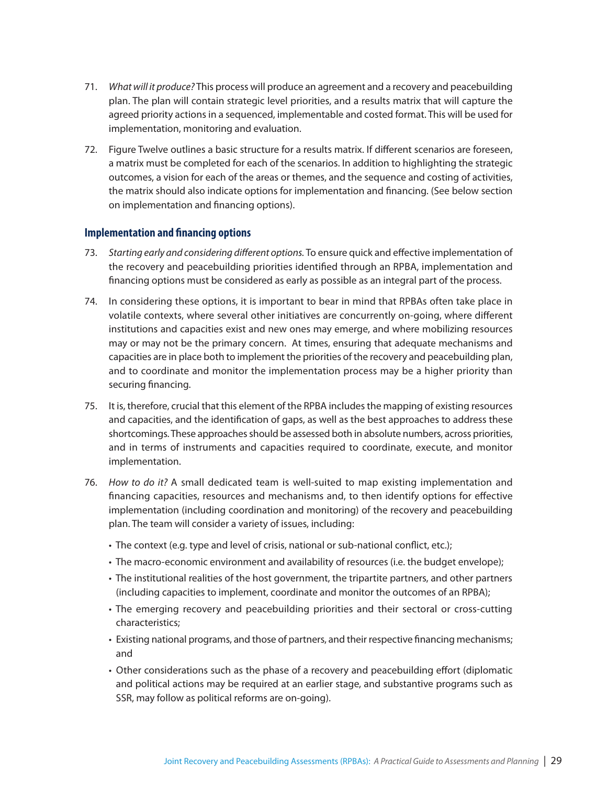- 71. What will it produce? This process will produce an agreement and a recovery and peacebuilding plan. The plan will contain strategic level priorities, and a results matrix that will capture the agreed priority actions in a sequenced, implementable and costed format. This will be used for implementation, monitoring and evaluation.
- 72. Figure Twelve outlines a basic structure for a results matrix. If different scenarios are foreseen, a matrix must be completed for each of the scenarios. In addition to highlighting the strategic outcomes, a vision for each of the areas or themes, and the sequence and costing of activities, the matrix should also indicate options for implementation and financing. (See below section on implementation and financing options).

#### **Implementation and financing options**

- 73. Starting early and considering different options. To ensure quick and effective implementation of the recovery and peacebuilding priorities identified through an RPBA, implementation and financing options must be considered as early as possible as an integral part of the process.
- 74. In considering these options, it is important to bear in mind that RPBAs often take place in volatile contexts, where several other initiatives are concurrently on-going, where different institutions and capacities exist and new ones may emerge, and where mobilizing resources may or may not be the primary concern. At times, ensuring that adequate mechanisms and capacities are in place both to implement the priorities of the recovery and peacebuilding plan, and to coordinate and monitor the implementation process may be a higher priority than securing financing.
- 75. It is, therefore, crucial that this element of the RPBA includesthe mapping of existing resources and capacities, and the identification of gaps, as well as the best approaches to address these shortcomings. These approaches should be assessed both in absolute numbers, across priorities, and in terms of instruments and capacities required to coordinate, execute, and monitor implementation.
- 76. How to do it? A small dedicated team is well-suited to map existing implementation and financing capacities, resources and mechanisms and, to then identify options for effective implementation (including coordination and monitoring) of the recovery and peacebuilding plan. The team will consider a variety of issues, including:
	- The context (e.g. type and level of crisis, national or sub-national conflict, etc.);
	- The macro-economic environment and availability of resources (i.e. the budget envelope);
	- The institutional realities of the host government, the tripartite partners, and other partners (including capacities to implement, coordinate and monitor the outcomes of an RPBA);
	- The emerging recovery and peacebuilding priorities and their sectoral or cross-cutting characteristics;
	- Existing national programs, and those of partners, and their respective financing mechanisms; and
	- Other considerations such as the phase of a recovery and peacebuilding effort (diplomatic and political actions may be required at an earlier stage, and substantive programs such as SSR, may follow as political reforms are on-going).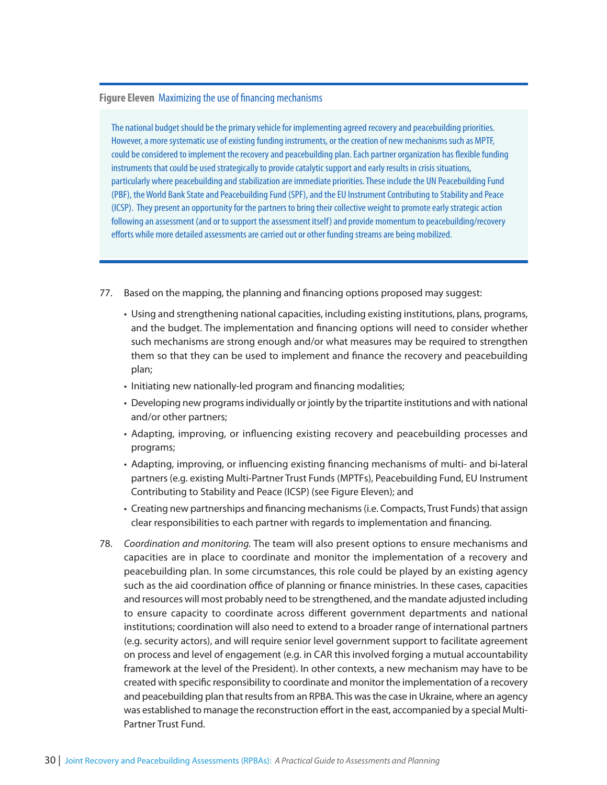#### **Figure Eleven** Maximizing the use of financing mechanisms

The national budget should be the primary vehicle for implementing agreed recovery and peacebuilding priorities. However, a more systematic use of existing funding instruments, or the creation of new mechanisms such as MPTF, could be considered to implement the recovery and peacebuilding plan. Each partner organization has flexible funding instruments that could be used strategically to provide catalytic support and early results in crisis situations, particularly where peacebuilding and stabilization are immediate priorities. These include the UN Peacebuilding Fund (PBF), the World Bank State and Peacebuilding Fund (SPF), and the EU Instrument Contributing to Stability and Peace (ICSP). They present an opportunity for the partners to bring their collective weight to promote early strategic action following an assessment (and or to support the assessment itself) and provide momentum to peacebuilding/recovery efforts while more detailed assessments are carried out or other funding streams are being mobilized.

- 77. Based on the mapping, the planning and financing options proposed may suggest:
	- Using and strengthening national capacities, including existing institutions, plans, programs, and the budget. The implementation and financing options will need to consider whether such mechanisms are strong enough and/or what measures may be required to strengthen them so that they can be used to implement and finance the recovery and peacebuilding plan;
	- Initiating new nationally-led program and financing modalities;
	- Developing new programsindividually or jointly by the tripartite institutions and with national and/or other partners;
	- Adapting, improving, or influencing existing recovery and peacebuilding processes and programs;
	- Adapting, improving, or influencing existing financing mechanisms of multi- and bi-lateral partners (e.g. existing Multi-Partner Trust Funds (MPTFs), Peacebuilding Fund, EU Instrument Contributing to Stability and Peace (ICSP) (see Figure Eleven); and
	- Creating new partnerships and financing mechanisms(i.e. Compacts, Trust Funds) that assign clear responsibilities to each partner with regards to implementation and financing.
- 78. Coordination and monitoring. The team will also present options to ensure mechanisms and capacities are in place to coordinate and monitor the implementation of a recovery and peacebuilding plan. In some circumstances, this role could be played by an existing agency such as the aid coordination office of planning or finance ministries. In these cases, capacities and resources will most probably need to be strengthened, and the mandate adjusted including to ensure capacity to coordinate across different government departments and national institutions; coordination will also need to extend to a broader range of international partners (e.g. security actors), and will require senior level government support to facilitate agreement on process and level of engagement (e.g. in CAR this involved forging a mutual accountability framework at the level of the President). In other contexts, a new mechanism may have to be created with specific responsibility to coordinate and monitor the implementation of a recovery and peacebuilding plan that results from an RPBA. This was the case in Ukraine, where an agency was established to manage the reconstruction effort in the east, accompanied by a special Multi-Partner Trust Fund.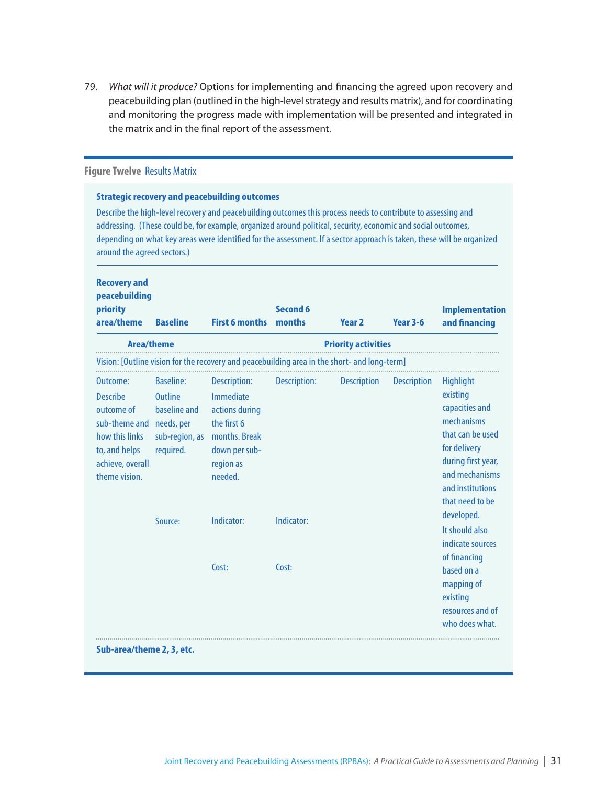79. What will it produce? Options for implementing and financing the agreed upon recovery and peacebuilding plan (outlined in the high-level strategy and results matrix), and for coordinating and monitoring the progress made with implementation will be presented and integrated in the matrix and in the final report of the assessment.

| <b>Recovery and</b><br>peacebuilding<br>priority<br>area/theme                                                                                | <b>Baseline</b>                                                                   | <b>First 6 months</b>                                                                                                       | <b>Second 6</b><br>months | Year <sub>2</sub>          | <b>Year 3-6</b>    | <b>Implementation</b><br>and financing                                                                                                                                          |
|-----------------------------------------------------------------------------------------------------------------------------------------------|-----------------------------------------------------------------------------------|-----------------------------------------------------------------------------------------------------------------------------|---------------------------|----------------------------|--------------------|---------------------------------------------------------------------------------------------------------------------------------------------------------------------------------|
| <b>Area/theme</b>                                                                                                                             |                                                                                   |                                                                                                                             |                           | <b>Priority activities</b> |                    |                                                                                                                                                                                 |
|                                                                                                                                               |                                                                                   | Vision: [Outline vision for the recovery and peacebuilding area in the short- and long-term]                                |                           |                            |                    |                                                                                                                                                                                 |
| Outcome:<br><b>Describe</b><br>outcome of<br>sub-theme and needs, per<br>how this links<br>to, and helps<br>achieve, overall<br>theme vision. | <b>Baseline:</b><br><b>Outline</b><br>baseline and<br>sub-region, as<br>required. | <b>Description:</b><br>Immediate<br>actions during<br>the first 6<br>months. Break<br>down per sub-<br>region as<br>needed. | <b>Description:</b>       | <b>Description</b>         | <b>Description</b> | <b>Highlight</b><br>existing<br>capacities and<br>mechanisms<br>that can be used<br>for delivery<br>during first year,<br>and mechanisms<br>and institutions<br>that need to be |
|                                                                                                                                               | Source:                                                                           | Indicator:                                                                                                                  | Indicator:                |                            |                    | developed.<br>It should also<br>indicate sources<br>of financing                                                                                                                |
|                                                                                                                                               |                                                                                   | Cost:                                                                                                                       | Cost:                     |                            |                    | based on a<br>mapping of<br>existing<br>resources and of<br>who does what.                                                                                                      |

#### **Figure Twelve** Results Matrix

#### **Strategicrecovery and peacebuilding outcomes**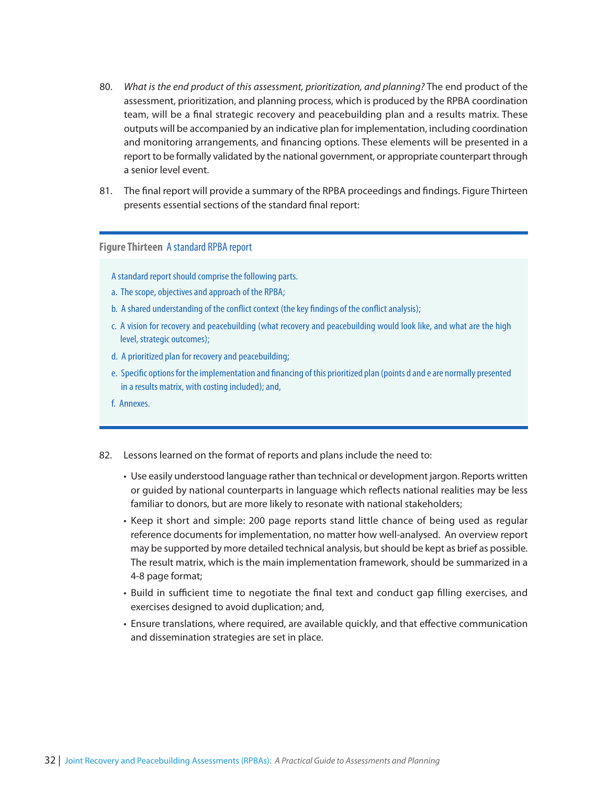- 80. What is the end product of this assessment, prioritization, and planning? The end product of the assessment, prioritization, and planning process, which is produced by the RPBA coordination team, will be a final strategic recovery and peacebuilding plan and a results matrix. These outputs will be accompanied by an indicative plan for implementation, including coordination and monitoring arrangements, and financing options. These elements will be presented in a report to be formally validated by the national government, or appropriate counterpart through a senior level event.
- 81. The final report will provide a summary of the RPBA proceedings and findings. Figure Thirteen presents essential sections of the standard final report:

**Figure Thirteen** A standard RPBA report

- A standard report should comprise the following parts.
- a. The scope, objectives and approach of the RPBA;
- b. A shared understanding of the conflict context (the key findings of the conflict analysis);
- c. A vision for recovery and peacebuilding (what recovery and peacebuilding would look like, and what are the high level, strategic outcomes);
- d. A prioritized plan for recovery and peacebuilding;
- e. Specific options for the implementation and financing of this prioritized plan (points d and e are normally presented in a results matrix, with costing included); and,
- f. Annexes.
- 82. Lessons learned on the format of reports and plans include the need to:
	- Use easily understood language rather than technical or development jargon. Reports written or guided by national counterparts in language which reflects national realities may be less familiar to donors, but are more likely to resonate with national stakeholders;
	- Keep it short and simple: 200 page reports stand little chance of being used as regular reference documents for implementation, no matter how well-analysed. An overview report may be supported by more detailed technical analysis, but should be kept as brief as possible. The result matrix, which is the main implementation framework, should be summarized in a 4-8 page format;
	- Build in sufficient time to negotiate the final text and conduct gap filling exercises, and exercises designed to avoid duplication; and,
	- Ensure translations, where required, are available quickly, and that effective communication and dissemination strategies are set in place.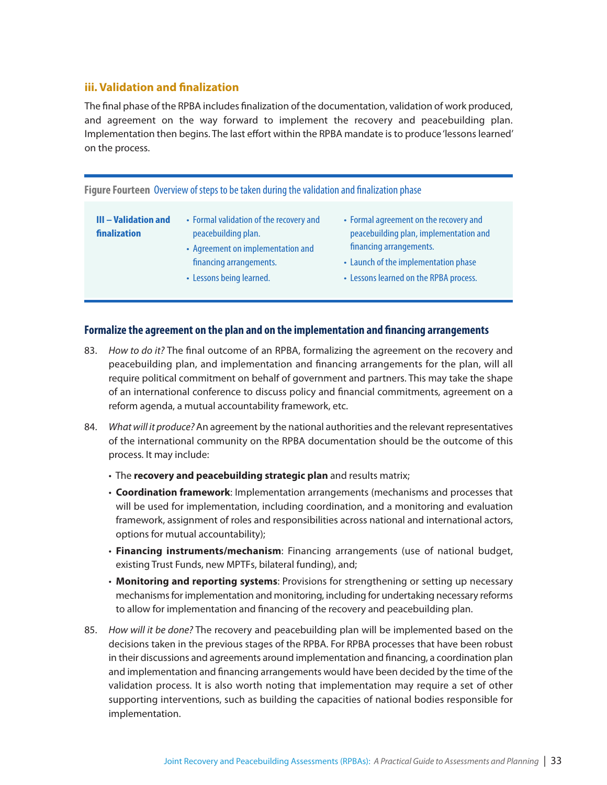#### **iii. Validation and finalization**

The final phase of the RPBA includes finalization of the documentation, validation of work produced, and agreement on the way forward to implement the recovery and peacebuilding plan. Implementation then begins. The last effort within the RPBA mandate is to produce 'lessons learned' on the process.

| Figure Fourteen Overview of steps to be taken during the validation and finalization phase |  |
|--------------------------------------------------------------------------------------------|--|
|--------------------------------------------------------------------------------------------|--|

#### **III – Validation and finalization**

- Formal validation of the recovery and peacebuilding plan.
	- Agreement on implementation and financing arrangements.
	- Lessons being learned.
- Formal agreement on the recovery and peacebuilding plan, implementation and financing arrangements.
- Launch of the implementation phase
- Lessons learned on the RPBA process.

#### **Formalize the agreement on the plan and on the implementation and financing arrangements**

- 83. How to do it? The final outcome of an RPBA, formalizing the agreement on the recovery and peacebuilding plan, and implementation and financing arrangements for the plan, will all require political commitment on behalf of government and partners. This may take the shape of an international conference to discuss policy and financial commitments, agreement on a reform agenda, a mutual accountability framework, etc.
- 84. What will it produce? An agreement by the national authorities and the relevant representatives of the international community on the RPBA documentation should be the outcome of this process. It may include:
	- The **recovery and peacebuilding strategic plan** and results matrix;
	- **Coordination framework**: Implementation arrangements (mechanisms and processes that will be used for implementation, including coordination, and a monitoring and evaluation framework, assignment of roles and responsibilities across national and international actors, options for mutual accountability);
	- **Financing instruments/mechanism**: Financing arrangements (use of national budget, existing Trust Funds, new MPTFs, bilateral funding), and;
	- **Monitoring and reporting systems**: Provisions for strengthening or setting up necessary mechanismsfor implementation and monitoring, including for undertaking necessary reforms to allow for implementation and financing of the recovery and peacebuilding plan.
- 85. How will it be done? The recovery and peacebuilding plan will be implemented based on the decisions taken in the previous stages of the RPBA. For RPBA processes that have been robust in their discussions and agreements around implementation and financing, a coordination plan and implementation and financing arrangements would have been decided by the time of the validation process. It is also worth noting that implementation may require a set of other supporting interventions, such as building the capacities of national bodies responsible for implementation.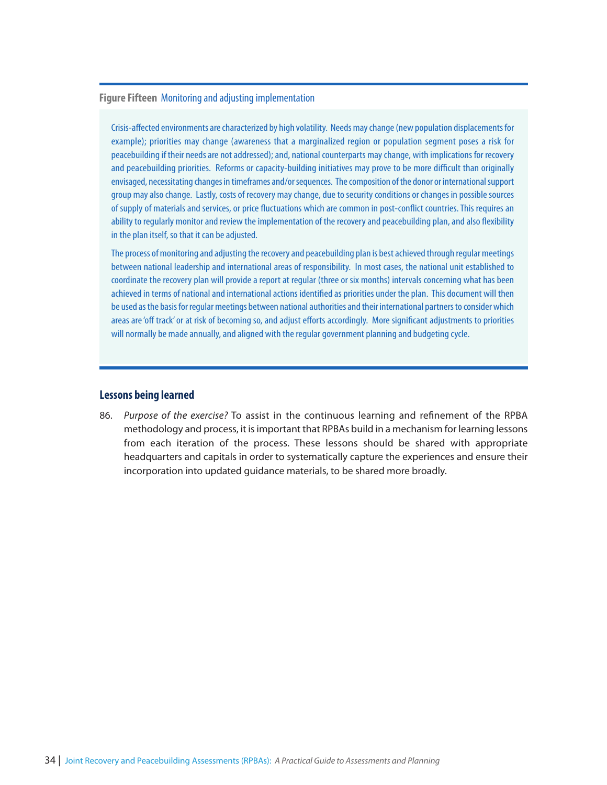#### **Figure Fifteen** Monitoring and adjusting implementation

Crisis-affected environments are characterized by high volatility. Needs may change (new population displacements for example); priorities may change (awareness that a marginalized region or population segment poses a risk for peacebuilding if their needs are not addressed); and, national counterparts may change, with implications for recovery and peacebuilding priorities. Reforms or capacity-building initiatives may prove to be more difficult than originally envisaged, necessitating changes in timeframes and/or sequences. The composition of the donor or international support group may also change. Lastly, costs of recovery may change, due to security conditions or changes in possible sources of supply of materials and services, or price fluctuations which are common in post-conflict countries. This requires an ability to regularly monitor and review the implementation of the recovery and peacebuilding plan, and also flexibility in the plan itself, so that it can be adjusted.

The process of monitoring and adjusting the recovery and peacebuilding plan is best achieved through regular meetings between national leadership and international areas of responsibility. In most cases, the national unit established to coordinate the recovery plan will provide a report at regular (three or six months) intervals concerning what has been achieved in terms of national and international actions identified as priorities under the plan. This document will then be used as the basis for regular meetings between national authorities and their international partners to consider which areas are 'off track' or at risk of becoming so, and adjust efforts accordingly. More significant adjustments to priorities will normally be made annually, and aligned with the regular government planning and budgeting cycle.

#### **Lessons being learned**

86. Purpose of the exercise? To assist in the continuous learning and refinement of the RPBA methodology and process, it isimportant that RPBAs build in a mechanism for learning lessons from each iteration of the process. These lessons should be shared with appropriate headquarters and capitals in order to systematically capture the experiences and ensure their incorporation into updated guidance materials, to be shared more broadly.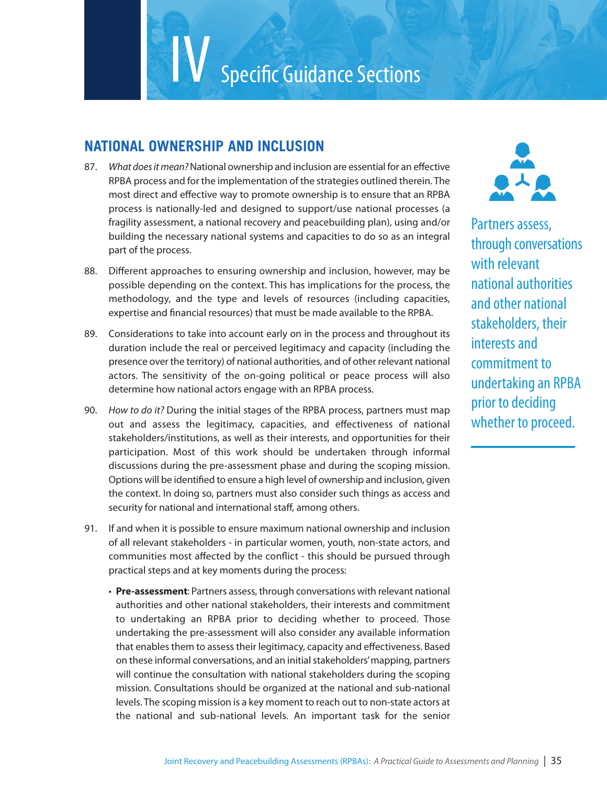## **NATIONAL OWNERSHIP AND INCLUSION**

- 87. What does it mean? National ownership and inclusion are essential for an effective RPBA process and for the implementation of the strategies outlined therein. The most direct and effective way to promote ownership is to ensure that an RPBA process is nationally-led and designed to support/use national processes (a fragility assessment, a national recovery and peacebuilding plan), using and/or building the necessary national systems and capacities to do so as an integral part of the process.
- 88. Different approaches to ensuring ownership and inclusion, however, may be possible depending on the context. This has implications for the process, the methodology, and the type and levels of resources (including capacities, expertise and financial resources) that must be made available to the RPBA.
- 89. Considerations to take into account early on in the process and throughout its duration include the real or perceived legitimacy and capacity (including the presence over the territory) of national authorities, and of other relevant national actors. The sensitivity of the on-going political or peace process will also determine how national actors engage with an RPBA process.
- 90. How to do it? During the initial stages of the RPBA process, partners must map out and assess the legitimacy, capacities, and effectiveness of national stakeholders/institutions, as well as their interests, and opportunities for their participation. Most of this work should be undertaken through informal discussions during the pre-assessment phase and during the scoping mission. Options will be identified to ensure a high level of ownership and inclusion, given the context. In doing so, partners must also consider such things as access and security for national and international staff, among others.
- 91. If and when it is possible to ensure maximum national ownership and inclusion of all relevant stakeholders - in particular women, youth, non-state actors, and communities most affected by the conflict - this should be pursued through practical steps and at key moments during the process:
	- **Pre-assessment**: Partners assess, through conversations with relevant national authorities and other national stakeholders, their interests and commitment to undertaking an RPBA prior to deciding whether to proceed. Those undertaking the pre-assessment will also consider any available information that enables them to assess their legitimacy, capacity and effectiveness. Based on these informal conversations, and an initial stakeholders' mapping, partners will continue the consultation with national stakeholders during the scoping mission. Consultations should be organized at the national and sub-national levels. The scoping mission is a key moment to reach out to non-state actors at the national and sub-national levels. An important task for the senior



Partners assess, through conversations with relevant national authorities and other national stakeholders, their interestsand commitment to undertaking an RPBA prior to deciding whether to proceed.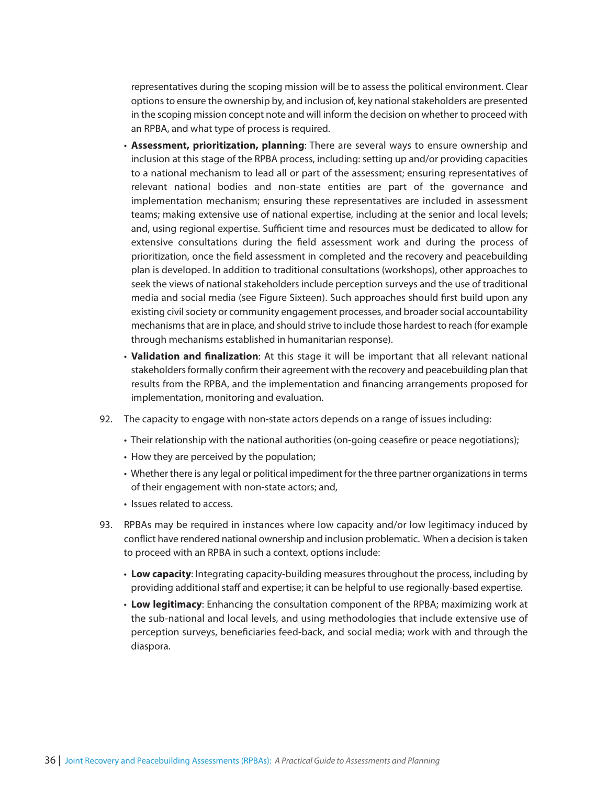representatives during the scoping mission will be to assess the political environment. Clear options to ensure the ownership by, and inclusion of, key national stakeholders are presented in the scoping mission concept note and will inform the decision on whether to proceed with an RPBA, and what type of process is required.

- **Assessment, prioritization, planning**: There are several ways to ensure ownership and inclusion at this stage of the RPBA process, including: setting up and/or providing capacities to a national mechanism to lead all or part of the assessment; ensuring representatives of relevant national bodies and non-state entities are part of the governance and implementation mechanism; ensuring these representatives are included in assessment teams; making extensive use of national expertise, including at the senior and local levels; and, using regional expertise. Sufficient time and resources must be dedicated to allow for extensive consultations during the field assessment work and during the process of prioritization, once the field assessment in completed and the recovery and peacebuilding plan is developed. In addition to traditional consultations (workshops), other approaches to seek the views of national stakeholders include perception surveys and the use of traditional media and social media (see Figure Sixteen). Such approaches should first build upon any existing civil society or community engagement processes, and broader social accountability mechanismsthat are in place, and should strive to include those hardest to reach (for example through mechanisms established in humanitarian response).
- **Validation and finalization**: At this stage it will be important that all relevant national stakeholders formally confirm their agreement with the recovery and peacebuilding plan that results from the RPBA, and the implementation and financing arrangements proposed for implementation, monitoring and evaluation.
- 92. The capacity to engage with non-state actors depends on a range of issues including:
	- Their relationship with the national authorities (on-going ceasefire or peace negotiations);
	- How they are perceived by the population;
	- Whether there is any legal or political impediment for the three partner organizations in terms of their engagement with non-state actors; and,
	- Issues related to access.
- 93. RPBAs may be required in instances where low capacity and/or low legitimacy induced by conflict have rendered national ownership and inclusion problematic. When a decision istaken to proceed with an RPBA in such a context, options include:
	- **Low capacity**: Integrating capacity-building measures throughout the process, including by providing additional staff and expertise; it can be helpful to use regionally-based expertise.
	- **Low legitimacy**: Enhancing the consultation component of the RPBA; maximizing work at the sub-national and local levels, and using methodologies that include extensive use of perception surveys, beneficiaries feed-back, and social media; work with and through the diaspora.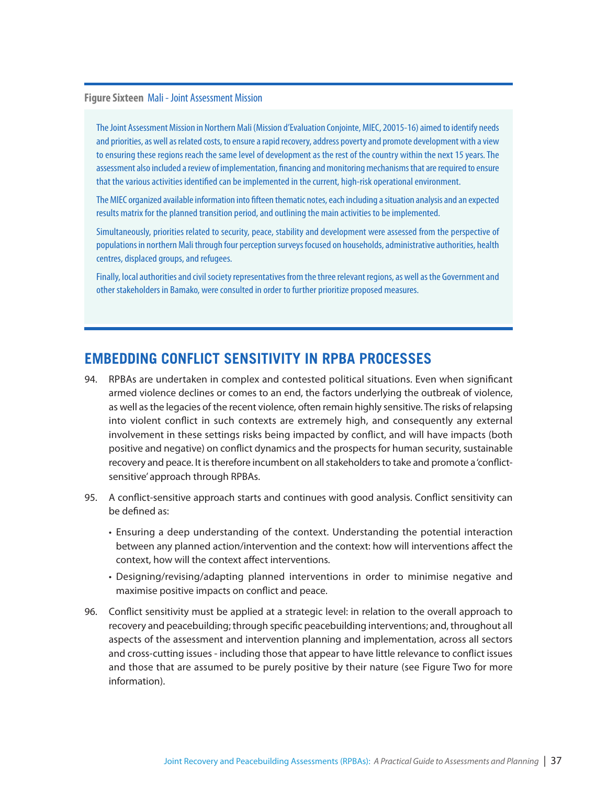#### **Figure Sixteen** Mali - Joint Assessment Mission

The Joint Assessment Mission in Northern Mali (Mission d'Evaluation Conjointe, MIEC, 20015-16) aimed to identify needs and priorities, as well as related costs, to ensure a rapid recovery, address poverty and promote development with a view to ensuring these regions reach the same level of development as the rest of the country within the next 15 years. The assessment also included a review of implementation, financing and monitoring mechanisms that are required to ensure that the various activities identified can be implemented in the current, high-risk operational environment.

The MIEC organized available information into fifteen thematic notes, each including a situation analysis and an expected results matrix for the planned transition period, and outlining the main activities to be implemented.

Simultaneously, priorities related to security, peace, stability and development were assessed from the perspective of populations in northern Mali through four perception surveys focused on households, administrative authorities, health centres, displaced groups, and refugees.

Finally, local authorities and civil society representatives from the three relevant regions, as well as the Government and other stakeholders in Bamako, were consulted in order to further prioritize proposed measures.

### **EMBEDDING CONFLICT SENSITIVITY IN RPBA PROCESSES**

- 94. RPBAs are undertaken in complex and contested political situations. Even when significant armed violence declines or comes to an end, the factors underlying the outbreak of violence, as well asthe legacies of the recent violence, often remain highly sensitive. The risks of relapsing into violent conflict in such contexts are extremely high, and consequently any external involvement in these settings risks being impacted by conflict, and will have impacts (both positive and negative) on conflict dynamics and the prospects for human security, sustainable recovery and peace. It is therefore incumbent on all stakeholders to take and promote a'conflictsensitive' approach through RPBAs.
- 95. A conflict-sensitive approach starts and continues with good analysis. Conflict sensitivity can be defined as:
	- Ensuring a deep understanding of the context. Understanding the potential interaction between any planned action/intervention and the context: how will interventions affect the context, how will the context affect interventions.
	- Designing/revising/adapting planned interventions in order to minimise negative and maximise positive impacts on conflict and peace.
- 96. Conflict sensitivity must be applied at a strategic level: in relation to the overall approach to recovery and peacebuilding; through specific peacebuilding interventions; and, throughout all aspects of the assessment and intervention planning and implementation, across all sectors and cross-cutting issues - including those that appear to have little relevance to conflict issues and those that are assumed to be purely positive by their nature (see Figure Two for more information).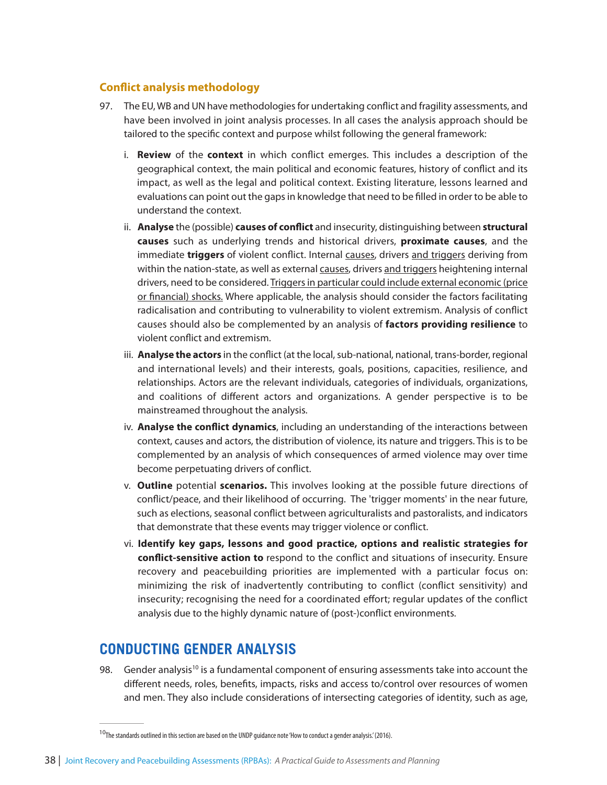#### **Conflict analysis methodology**

- 97. The EU, WB and UN have methodologiesfor undertaking conflict and fragility assessments, and have been involved in joint analysis processes. In all cases the analysis approach should be tailored to the specific context and purpose whilst following the general framework:
	- i. **Review** of the **context** in which conflict emerges. This includes a description of the geographical context, the main political and economic features, history of conflict and its impact, as well as the legal and political context. Existing literature, lessons learned and evaluations can point out the gapsin knowledge that need to be filled in order to be able to understand the context.
	- ii. **Analyse** the (possible) **causes of conflict** and insecurity, distinguishing between **structural causes** such as underlying trends and historical drivers, **proximate causes**, and the immediate **triggers** of violent conflict. Internal causes, drivers and triggers deriving from within the nation-state, as well as external causes, drivers and triggers heightening internal drivers, need to be considered. Triggers in particular could include external economic (price or financial) shocks. Where applicable, the analysis should consider the factors facilitating radicalisation and contributing to vulnerability to violent extremism. Analysis of conflict causes should also be complemented by an analysis of **factors providing resilience** to violent conflict and extremism.
	- iii. **Analyse the actors** in the conflict (at the local, sub-national, national, trans-border, regional and international levels) and their interests, goals, positions, capacities, resilience, and relationships. Actors are the relevant individuals, categories of individuals, organizations, and coalitions of different actors and organizations. A gender perspective is to be mainstreamed throughout the analysis.
	- iv. **Analyse the conflict dynamics**, including an understanding of the interactions between context, causes and actors, the distribution of violence, its nature and triggers. This is to be complemented by an analysis of which consequences of armed violence may over time become perpetuating drivers of conflict.
	- v. **Outline** potential **scenarios.** This involves looking at the possible future directions of conflict/peace, and their likelihood of occurring. The 'trigger moments' in the near future, such as elections, seasonal conflict between agriculturalists and pastoralists, and indicators that demonstrate that these events may trigger violence or conflict.
	- vi. **Identify key gaps, lessons and good practice, options and realistic strategies for conflict-sensitive action to** respond to the conflict and situations of insecurity. Ensure recovery and peacebuilding priorities are implemented with a particular focus on: minimizing the risk of inadvertently contributing to conflict (conflict sensitivity) and insecurity; recognising the need for a coordinated effort; regular updates of the conflict analysis due to the highly dynamic nature of (post-)conflict environments.

## **CONDUCTING GENDER ANALYSIS**

98. Gender analysis<sup>10</sup> is a fundamental component of ensuring assessments take into account the different needs, roles, benefits, impacts, risks and access to/control over resources of women and men. They also include considerations of intersecting categories of identity, such as age,

<sup>&</sup>lt;sup>10</sup>The standards outlined in this section are based on the UNDP guidance note 'How to conduct a gender analysis.' (2016).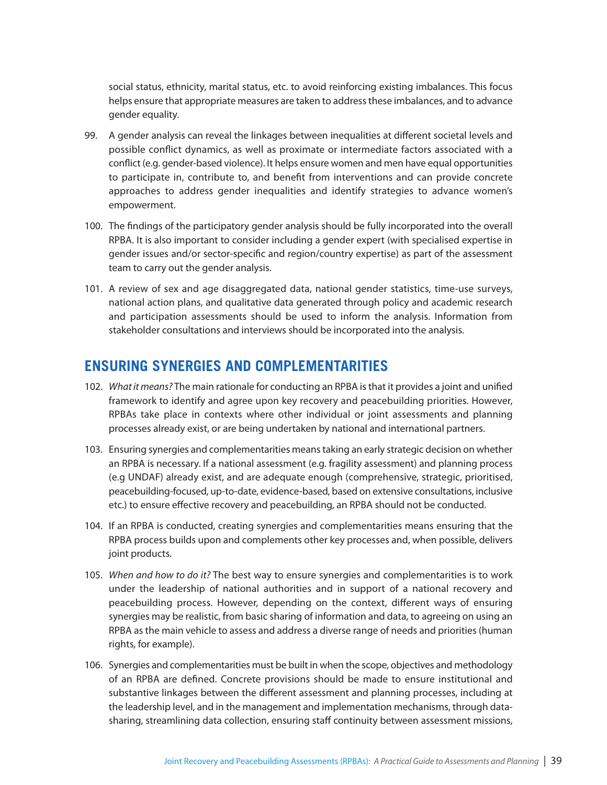social status, ethnicity, marital status, etc. to avoid reinforcing existing imbalances. This focus helps ensure that appropriate measures are taken to addressthese imbalances, and to advance gender equality.

- 99. A gender analysis can reveal the linkages between inequalities at different societal levels and possible conflict dynamics, as well as proximate or intermediate factors associated with a conflict (e.g. gender-based violence). It helps ensure women and men have equal opportunities to participate in, contribute to, and benefit from interventions and can provide concrete approaches to address gender inequalities and identify strategies to advance women's empowerment.
- 100. The findings of the participatory gender analysis should be fully incorporated into the overall RPBA. It is also important to consider including a gender expert (with specialised expertise in gender issues and/or sector-specific and region/country expertise) as part of the assessment team to carry out the gender analysis.
- 101. A review of sex and age disaggregated data, national gender statistics, time-use surveys, national action plans, and qualitative data generated through policy and academic research and participation assessments should be used to inform the analysis. Information from stakeholder consultations and interviews should be incorporated into the analysis.

### **ENSURING SYNERGIES AND COMPLEMENTARITIES**

- 102. What it means? The main rationale for conducting an RPBA is that it provides a joint and unified framework to identify and agree upon key recovery and peacebuilding priorities. However, RPBAs take place in contexts where other individual or joint assessments and planning processes already exist, or are being undertaken by national and international partners.
- 103. Ensuring synergies and complementarities meanstaking an early strategic decision on whether an RPBA is necessary. If a national assessment (e.g. fragility assessment) and planning process (e.g UNDAF) already exist, and are adequate enough (comprehensive, strategic, prioritised, peacebuilding-focused, up-to-date, evidence-based, based on extensive consultations, inclusive etc.) to ensure effective recovery and peacebuilding, an RPBA should not be conducted.
- 104. If an RPBA is conducted, creating synergies and complementarities means ensuring that the RPBA process builds upon and complements other key processes and, when possible, delivers joint products.
- 105. When and how to do it? The best way to ensure synergies and complementarities is to work under the leadership of national authorities and in support of a national recovery and peacebuilding process. However, depending on the context, different ways of ensuring synergies may be realistic, from basic sharing of information and data, to agreeing on using an RPBA as the main vehicle to assess and address a diverse range of needs and priorities (human rights, for example).
- 106. Synergies and complementarities must be built in when the scope, objectives and methodology of an RPBA are defined. Concrete provisions should be made to ensure institutional and substantive linkages between the different assessment and planning processes, including at the leadership level, and in the management and implementation mechanisms, through datasharing, streamlining data collection, ensuring staff continuity between assessment missions,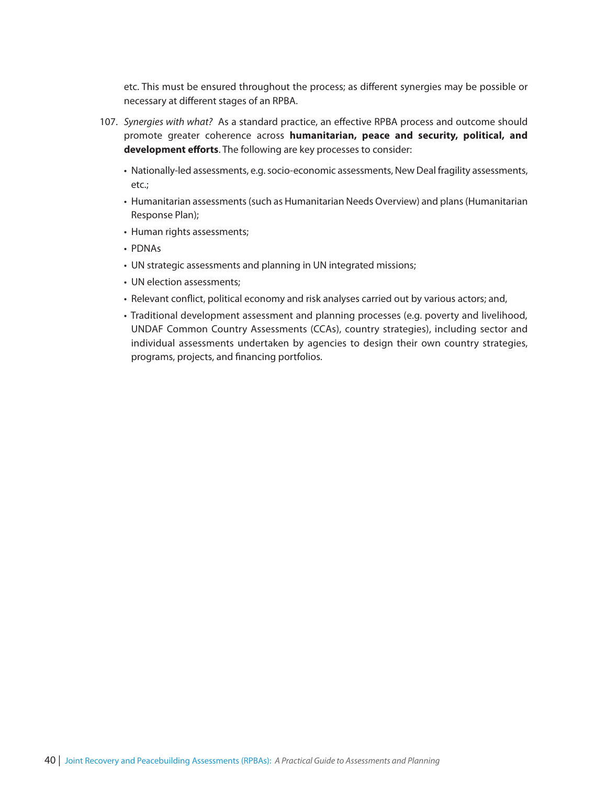etc. This must be ensured throughout the process; as different synergies may be possible or necessary at different stages of an RPBA.

- 107. Synergies with what? As a standard practice, an effective RPBA process and outcome should promote greater coherence across **humanitarian, peace and security, political, and development efforts**. The following are key processes to consider:
	- Nationally-led assessments, e.g.socio-economic assessments, New Deal fragility assessments, etc.;
	- Humanitarian assessments(such as Humanitarian Needs Overview) and plans(Humanitarian Response Plan);
	- Human rights assessments;
	- PDNAs
	- UN strategic assessments and planning in UN integrated missions;
	- UN election assessments;
	- Relevant conflict, political economy and risk analyses carried out by various actors; and,
	- Traditional development assessment and planning processes (e.g. poverty and livelihood, UNDAF Common Country Assessments (CCAs), country strategies), including sector and individual assessments undertaken by agencies to design their own country strategies, programs, projects, and financing portfolios.